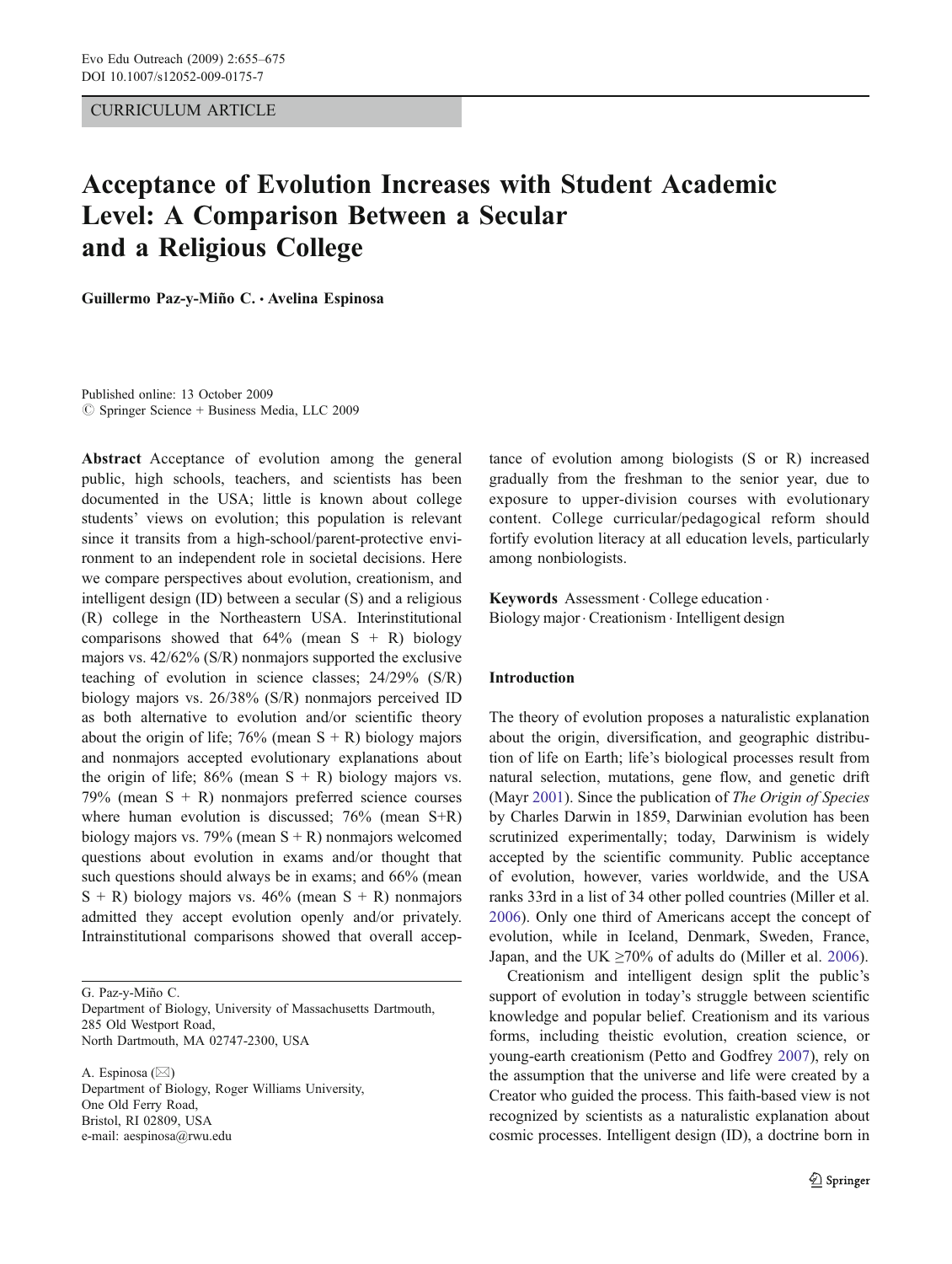# Acceptance of Evolution Increases with Student Academic Level: A Comparison Between a Secular and a Religious College

Guillermo Paz-y-Miño C. *&* Avelina Espinosa

Published online: 13 October 2009  $\circledcirc$  Springer Science + Business Media, LLC 2009

Abstract Acceptance of evolution among the general public, high schools, teachers, and scientists has been documented in the USA; little is known about college students' views on evolution; this population is relevant since it transits from a high-school/parent-protective environment to an independent role in societal decisions. Here we compare perspectives about evolution, creationism, and intelligent design (ID) between a secular (S) and a religious (R) college in the Northeastern USA. Interinstitutional comparisons showed that  $64\%$  (mean S + R) biology majors vs. 42/62% (S/R) nonmajors supported the exclusive teaching of evolution in science classes; 24/29% (S/R) biology majors vs. 26/38% (S/R) nonmajors perceived ID as both alternative to evolution and/or scientific theory about the origin of life; 76% (mean  $S + R$ ) biology majors and nonmajors accepted evolutionary explanations about the origin of life;  $86\%$  (mean S + R) biology majors vs. 79% (mean  $S + R$ ) nonmajors preferred science courses where human evolution is discussed; 76% (mean S+R) biology majors vs. 79% (mean  $S + R$ ) nonmajors welcomed questions about evolution in exams and/or thought that such questions should always be in exams; and 66% (mean  $S + R$ ) biology majors vs. 46% (mean  $S + R$ ) nonmajors admitted they accept evolution openly and/or privately. Intrainstitutional comparisons showed that overall accep-

G. Paz-y-Miño C.

Department of Biology, University of Massachusetts Dartmouth, 285 Old Westport Road, North Dartmouth, MA 02747-2300, USA

A. Espinosa ( $\boxtimes$ ) Department of Biology, Roger Williams University, One Old Ferry Road, Bristol, RI 02809, USA e-mail: aespinosa@rwu.edu

tance of evolution among biologists (S or R) increased gradually from the freshman to the senior year, due to exposure to upper-division courses with evolutionary content. College curricular/pedagogical reform should fortify evolution literacy at all education levels, particularly among nonbiologists.

Keywords Assessment . College education . Biology major. Creationism . Intelligent design

## Introduction

The theory of evolution proposes a naturalistic explanation about the origin, diversification, and geographic distribution of life on Earth; life's biological processes result from natural selection, mutations, gene flow, and genetic drift (Mayr [2001](#page-19-0)). Since the publication of The Origin of Species by Charles Darwin in 1859, Darwinian evolution has been scrutinized experimentally; today, Darwinism is widely accepted by the scientific community. Public acceptance of evolution, however, varies worldwide, and the USA ranks 33rd in a list of 34 other polled countries (Miller et al. [2006](#page-19-0)). Only one third of Americans accept the concept of evolution, while in Iceland, Denmark, Sweden, France, Japan, and the UK  $\geq$ 70% of adults do (Miller et al. [2006\)](#page-19-0).

Creationism and intelligent design split the public's support of evolution in today's struggle between scientific knowledge and popular belief. Creationism and its various forms, including theistic evolution, creation science, or young-earth creationism (Petto and Godfrey [2007\)](#page-20-0), rely on the assumption that the universe and life were created by a Creator who guided the process. This faith-based view is not recognized by scientists as a naturalistic explanation about cosmic processes. Intelligent design (ID), a doctrine born in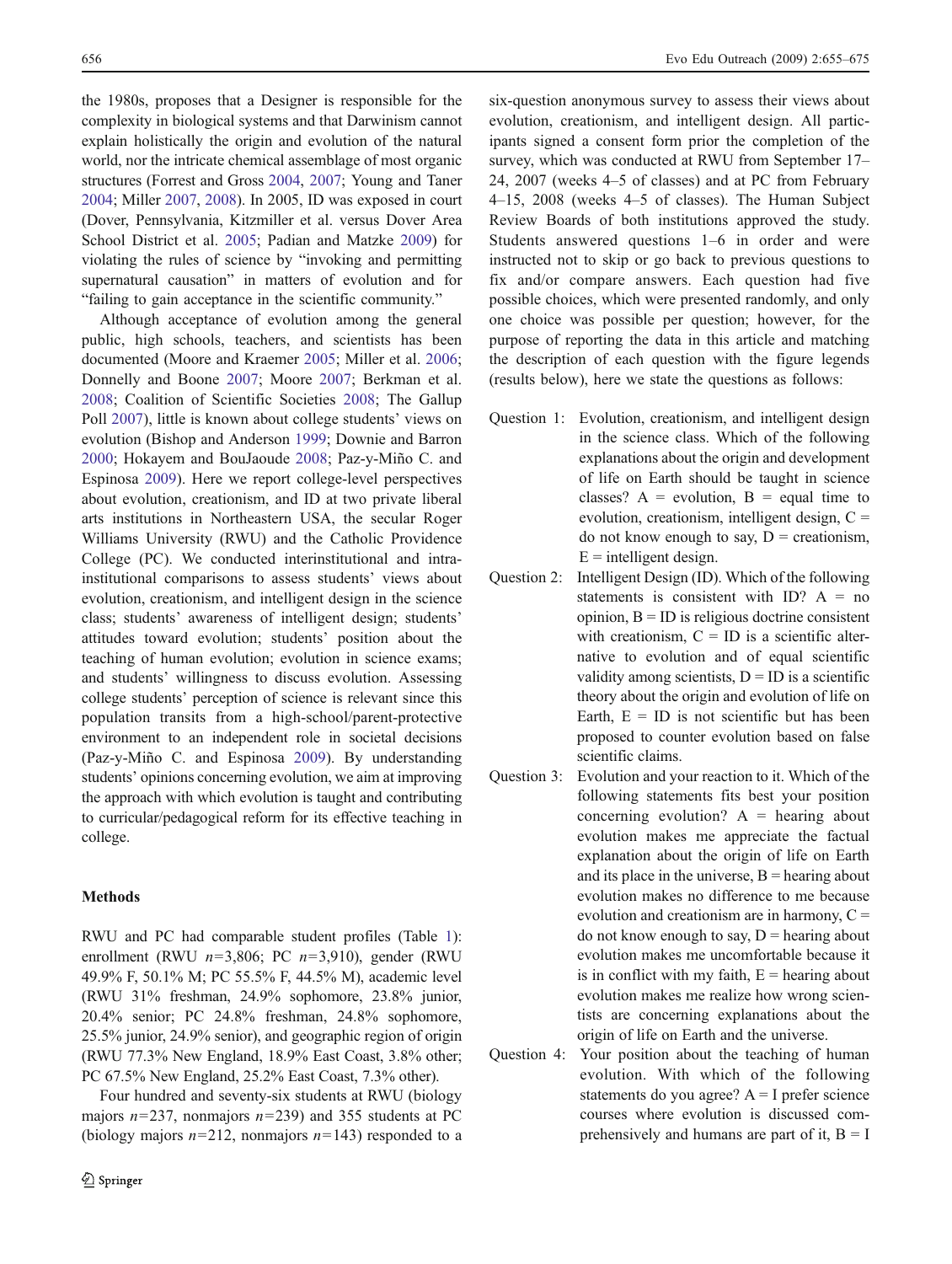the 1980s, proposes that a Designer is responsible for the complexity in biological systems and that Darwinism cannot explain holistically the origin and evolution of the natural world, nor the intricate chemical assemblage of most organic structures (Forrest and Gross [2004,](#page-19-0) [2007;](#page-19-0) Young and Taner [2004;](#page-20-0) Miller [2007](#page-19-0), [2008](#page-19-0)). In 2005, ID was exposed in court (Dover, Pennsylvania, Kitzmiller et al. versus Dover Area School District et al. [2005;](#page-19-0) Padian and Matzke [2009](#page-20-0)) for violating the rules of science by "invoking and permitting supernatural causation" in matters of evolution and for "failing to gain acceptance in the scientific community."

Although acceptance of evolution among the general public, high schools, teachers, and scientists has been documented (Moore and Kraemer [2005](#page-20-0); Miller et al. [2006](#page-19-0); Donnelly and Boone [2007;](#page-19-0) Moore [2007;](#page-20-0) Berkman et al. [2008;](#page-19-0) Coalition of Scientific Societies [2008;](#page-19-0) The Gallup Poll [2007\)](#page-20-0), little is known about college students' views on evolution (Bishop and Anderson [1999](#page-19-0); Downie and Barron [2000;](#page-19-0) Hokayem and BouJaoude [2008](#page-19-0); Paz-y-Miño C. and Espinosa [2009\)](#page-20-0). Here we report college-level perspectives about evolution, creationism, and ID at two private liberal arts institutions in Northeastern USA, the secular Roger Williams University (RWU) and the Catholic Providence College (PC). We conducted interinstitutional and intrainstitutional comparisons to assess students' views about evolution, creationism, and intelligent design in the science class; students' awareness of intelligent design; students' attitudes toward evolution; students' position about the teaching of human evolution; evolution in science exams; and students' willingness to discuss evolution. Assessing college students' perception of science is relevant since this population transits from a high-school/parent-protective environment to an independent role in societal decisions (Paz-y-Miño C. and Espinosa [2009\)](#page-20-0). By understanding students' opinions concerning evolution, we aim at improving the approach with which evolution is taught and contributing to curricular/pedagogical reform for its effective teaching in college.

## Methods

RWU and PC had comparable student profiles (Table [1](#page-3-0)): enrollment (RWU  $n=3,806$ ; PC  $n=3,910$ ), gender (RWU 49.9% F, 50.1% M; PC 55.5% F, 44.5% M), academic level (RWU 31% freshman, 24.9% sophomore, 23.8% junior, 20.4% senior; PC 24.8% freshman, 24.8% sophomore, 25.5% junior, 24.9% senior), and geographic region of origin (RWU 77.3% New England, 18.9% East Coast, 3.8% other; PC 67.5% New England, 25.2% East Coast, 7.3% other).

Four hundred and seventy-six students at RWU (biology majors  $n=237$ , nonmajors  $n=239$ ) and 355 students at PC (biology majors  $n=212$ , nonmajors  $n=143$ ) responded to a six-question anonymous survey to assess their views about evolution, creationism, and intelligent design. All participants signed a consent form prior the completion of the survey, which was conducted at RWU from September 17– 24, 2007 (weeks 4–5 of classes) and at PC from February 4–15, 2008 (weeks 4–5 of classes). The Human Subject Review Boards of both institutions approved the study. Students answered questions 1–6 in order and were instructed not to skip or go back to previous questions to fix and/or compare answers. Each question had five possible choices, which were presented randomly, and only one choice was possible per question; however, for the purpose of reporting the data in this article and matching the description of each question with the figure legends (results below), here we state the questions as follows:

- Question 1: Evolution, creationism, and intelligent design in the science class. Which of the following explanations about the origin and development of life on Earth should be taught in science classes?  $A =$  evolution,  $B =$  equal time to evolution, creationism, intelligent design,  $C =$ do not know enough to say,  $D =$  creationism,  $E =$  intelligent design.
- Question 2: Intelligent Design (ID). Which of the following statements is consistent with ID?  $A = no$ opinion,  $B = ID$  is religious doctrine consistent with creationism,  $C = ID$  is a scientific alternative to evolution and of equal scientific validity among scientists,  $D = ID$  is a scientific theory about the origin and evolution of life on Earth,  $E = ID$  is not scientific but has been proposed to counter evolution based on false scientific claims.
- Question 3: Evolution and your reaction to it. Which of the following statements fits best your position concerning evolution?  $A =$  hearing about evolution makes me appreciate the factual explanation about the origin of life on Earth and its place in the universe,  $B =$  hearing about evolution makes no difference to me because evolution and creationism are in harmony, C = do not know enough to say,  $D =$  hearing about evolution makes me uncomfortable because it is in conflict with my faith,  $E =$  hearing about evolution makes me realize how wrong scientists are concerning explanations about the origin of life on Earth and the universe.
- Question 4: Your position about the teaching of human evolution. With which of the following statements do you agree?  $A = I$  prefer science courses where evolution is discussed comprehensively and humans are part of it,  $B = I$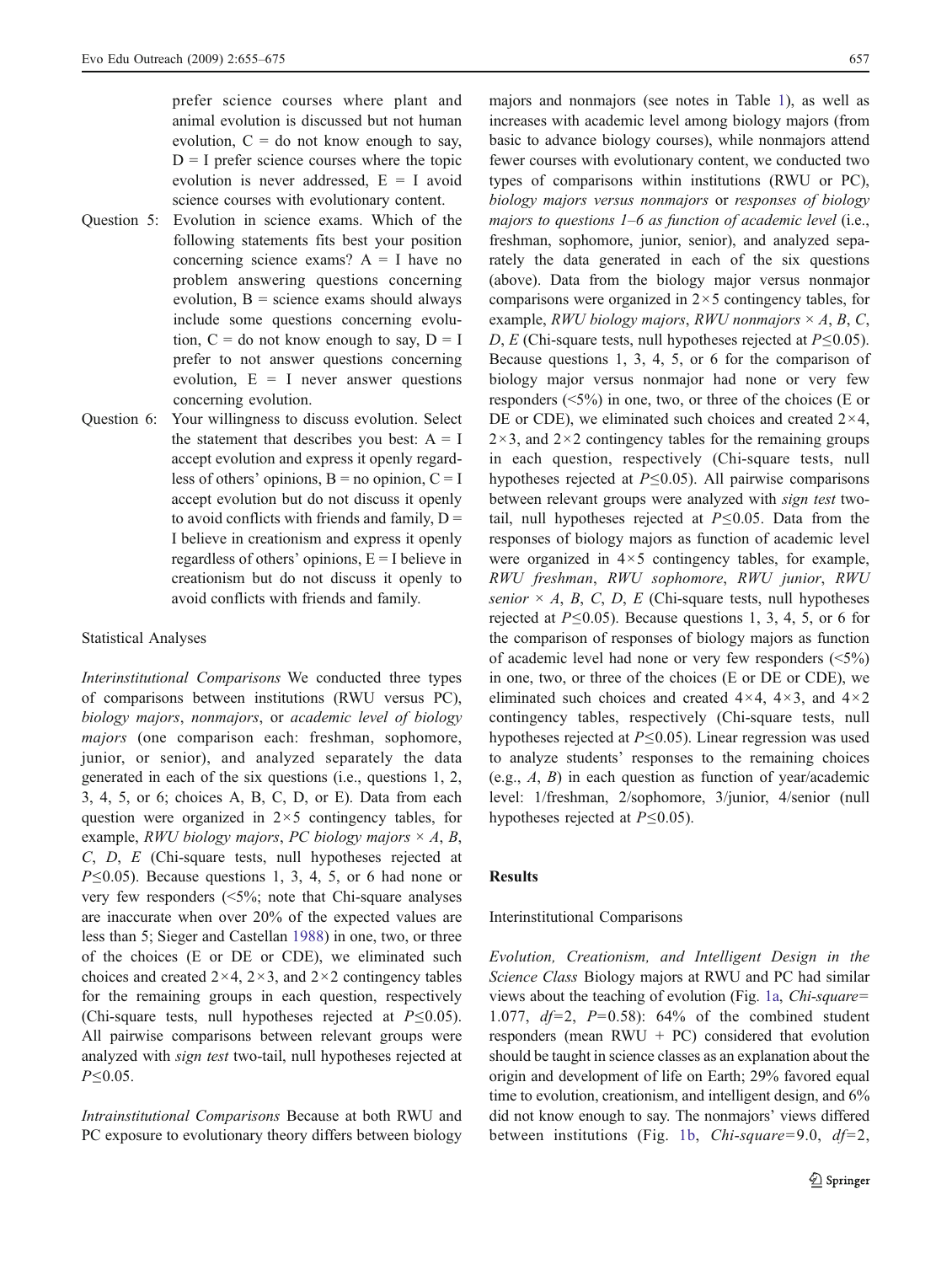prefer science courses where plant and animal evolution is discussed but not human evolution,  $C =$  do not know enough to say,  $D = I$  prefer science courses where the topic evolution is never addressed, E = I avoid science courses with evolutionary content.

- Question 5: Evolution in science exams. Which of the following statements fits best your position concerning science exams?  $A = I$  have no problem answering questions concerning evolution,  $B =$  science exams should always include some questions concerning evolution,  $C =$  do not know enough to say,  $D = I$ prefer to not answer questions concerning evolution,  $E = I$  never answer questions concerning evolution.
- Question 6: Your willingness to discuss evolution. Select the statement that describes you best:  $A = I$ accept evolution and express it openly regardless of others' opinions,  $B = no$  opinion,  $C = I$ accept evolution but do not discuss it openly to avoid conflicts with friends and family,  $D =$ I believe in creationism and express it openly regardless of others' opinions,  $E = I$  believe in creationism but do not discuss it openly to avoid conflicts with friends and family.

#### Statistical Analyses

Interinstitutional Comparisons We conducted three types of comparisons between institutions (RWU versus PC), biology majors, nonmajors, or academic level of biology majors (one comparison each: freshman, sophomore, junior, or senior), and analyzed separately the data generated in each of the six questions (i.e., questions 1, 2, 3, 4, 5, or 6; choices A, B, C, D, or E). Data from each question were organized in  $2 \times 5$  contingency tables, for example, RWU biology majors, PC biology majors  $\times A$ , B, C, D, E (Chi-square tests, null hypotheses rejected at  $P \le 0.05$ ). Because questions 1, 3, 4, 5, or 6 had none or very few responders (<5%; note that Chi-square analyses are inaccurate when over 20% of the expected values are less than 5; Sieger and Castellan [1988\)](#page-20-0) in one, two, or three of the choices (E or DE or CDE), we eliminated such choices and created  $2 \times 4$ ,  $2 \times 3$ , and  $2 \times 2$  contingency tables for the remaining groups in each question, respectively (Chi-square tests, null hypotheses rejected at  $P \le 0.05$ ). All pairwise comparisons between relevant groups were analyzed with sign test two-tail, null hypotheses rejected at  $P \leq 0.05$ .

Intrainstitutional Comparisons Because at both RWU and PC exposure to evolutionary theory differs between biology

majors and nonmajors (see notes in Table [1\)](#page-3-0), as well as increases with academic level among biology majors (from basic to advance biology courses), while nonmajors attend fewer courses with evolutionary content, we conducted two types of comparisons within institutions (RWU or PC), biology majors versus nonmajors or responses of biology majors to questions 1–6 as function of academic level (i.e., freshman, sophomore, junior, senior), and analyzed separately the data generated in each of the six questions (above). Data from the biology major versus nonmajor comparisons were organized in  $2 \times 5$  contingency tables, for example, RWU biology majors, RWU nonmajors  $\times A$ , B, C, D, E (Chi-square tests, null hypotheses rejected at  $P \le 0.05$ ). Because questions 1, 3, 4, 5, or 6 for the comparison of biology major versus nonmajor had none or very few responders (<5%) in one, two, or three of the choices (E or DE or CDE), we eliminated such choices and created  $2 \times 4$ ,  $2\times3$ , and  $2\times2$  contingency tables for the remaining groups in each question, respectively (Chi-square tests, null hypotheses rejected at  $P \le 0.05$ ). All pairwise comparisons between relevant groups were analyzed with sign test twotail, null hypotheses rejected at  $P \le 0.05$ . Data from the responses of biology majors as function of academic level were organized in  $4 \times 5$  contingency tables, for example, RWU freshman, RWU sophomore, RWU junior, RWU senior  $\times$  A, B, C, D, E (Chi-square tests, null hypotheses rejected at  $P \le 0.05$ ). Because questions 1, 3, 4, 5, or 6 for the comparison of responses of biology majors as function of academic level had none or very few responders  $(\leq 5\%)$ in one, two, or three of the choices (E or DE or CDE), we eliminated such choices and created  $4 \times 4$ ,  $4 \times 3$ , and  $4 \times 2$ contingency tables, respectively (Chi-square tests, null hypotheses rejected at  $P \leq 0.05$ ). Linear regression was used to analyze students' responses to the remaining choices (e.g., A, B) in each question as function of year/academic level: 1/freshman, 2/sophomore, 3/junior, 4/senior (null hypotheses rejected at  $P \leq 0.05$ ).

# Results

#### Interinstitutional Comparisons

Evolution, Creationism, and Intelligent Design in the Science Class Biology majors at RWU and PC had similar views about the teaching of evolution (Fig. [1a,](#page-5-0) Chi-square= 1.077,  $df=2$ ,  $P=0.58$ : 64% of the combined student responders (mean RWU + PC) considered that evolution should be taught in science classes as an explanation about the origin and development of life on Earth; 29% favored equal time to evolution, creationism, and intelligent design, and 6% did not know enough to say. The nonmajors' views differed between institutions (Fig. [1b](#page-5-0), Chi-square=9.0,  $df=2$ ,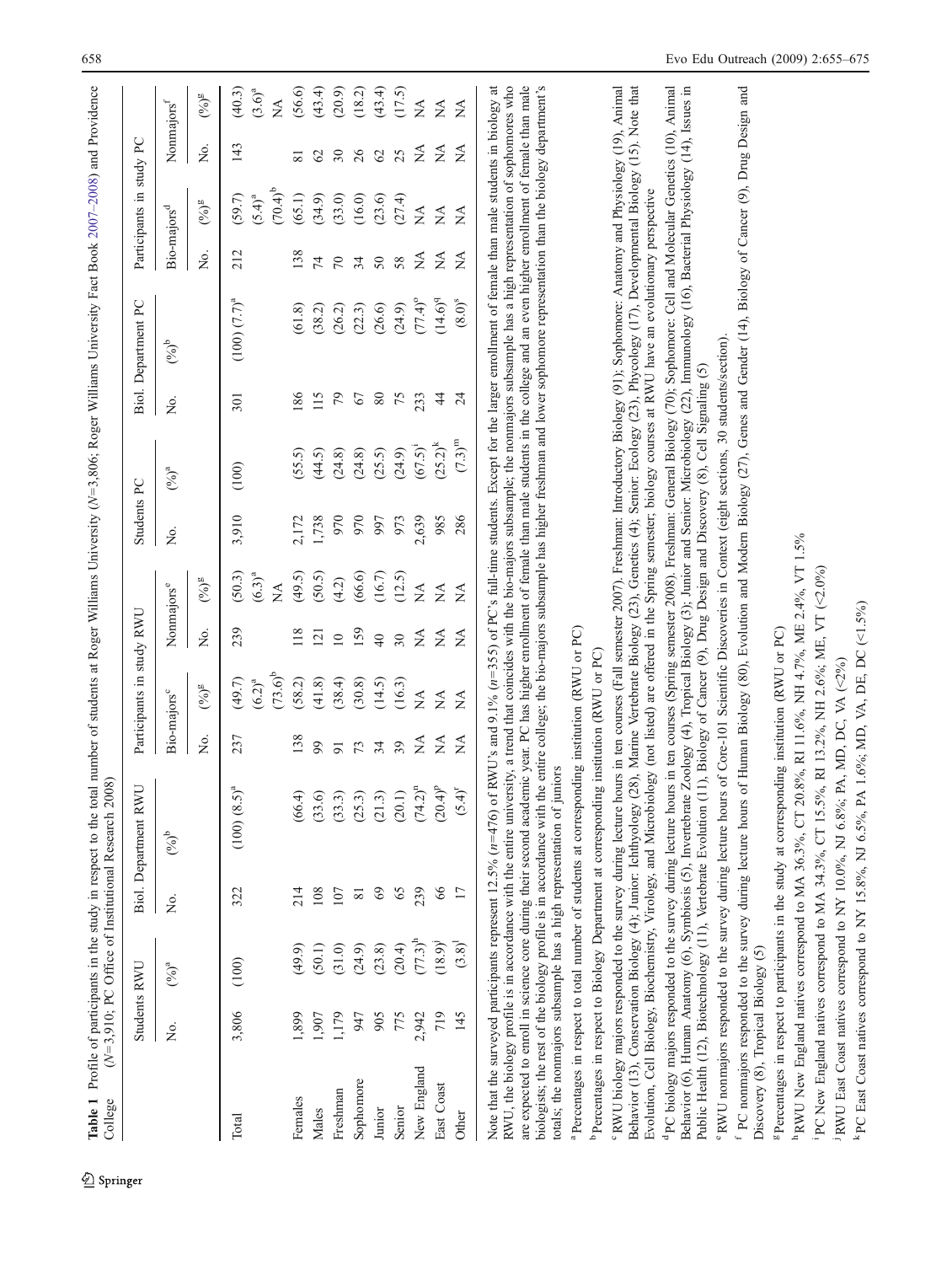<span id="page-3-0"></span>

| College                                                                                                       | $(N=3,910; PC$ Office of Institutional Research 2008) |                                   |                 |                                                                                                                                                                                                                                                                                                                                                                                                                                                                                                                                                                                                                                                                                                                                                                                                                                                                                     |                |                             |                           |                                |             |              |                 |                                                                                                                         |                      |                             |                  |                            |
|---------------------------------------------------------------------------------------------------------------|-------------------------------------------------------|-----------------------------------|-----------------|-------------------------------------------------------------------------------------------------------------------------------------------------------------------------------------------------------------------------------------------------------------------------------------------------------------------------------------------------------------------------------------------------------------------------------------------------------------------------------------------------------------------------------------------------------------------------------------------------------------------------------------------------------------------------------------------------------------------------------------------------------------------------------------------------------------------------------------------------------------------------------------|----------------|-----------------------------|---------------------------|--------------------------------|-------------|--------------|-----------------|-------------------------------------------------------------------------------------------------------------------------|----------------------|-----------------------------|------------------|----------------------------|
|                                                                                                               | Students RWU                                          |                                   |                 | Biol. Department RWU                                                                                                                                                                                                                                                                                                                                                                                                                                                                                                                                                                                                                                                                                                                                                                                                                                                                |                | Participants in             | study RWU                 |                                | Students PC |              | Biol.           | Department PC                                                                                                           |                      | Participants in             | study PC         |                            |
|                                                                                                               | Ż.                                                    | $(\%)^a$                          | Σó              | $\left(\begin{smallmatrix} 0 & b \\ c & d \end{smallmatrix}\right)^\mathrm{b}$                                                                                                                                                                                                                                                                                                                                                                                                                                                                                                                                                                                                                                                                                                                                                                                                      |                | Bio-majors <sup>c</sup>     | Nonmajors <sup>e</sup>    |                                | ż.          | $(\%)^a$     | Σó              | $(\%)^b$                                                                                                                |                      | Bio-majors <sup>d</sup>     | Nonmajors $f$    |                            |
|                                                                                                               |                                                       |                                   |                 |                                                                                                                                                                                                                                                                                                                                                                                                                                                                                                                                                                                                                                                                                                                                                                                                                                                                                     | Σó.            | $(\%)^g$                    | Σó                        | $(\%)^g$                       |             |              |                 |                                                                                                                         | Σó                   | $(0/6)^{\rm g}$             | Σó.              | $(9/0)^8$                  |
| Total                                                                                                         | 3,806                                                 | (100)                             | 322             | $(100)$ $(8.5)^a$                                                                                                                                                                                                                                                                                                                                                                                                                                                                                                                                                                                                                                                                                                                                                                                                                                                                   | 237            | (49.7)                      | 239                       | (50.3)                         | 3,910       | (100)        | 301             | $(100)(7.7)^{a}$                                                                                                        | 212                  | (59.7)                      | 143              | (40.3)                     |
|                                                                                                               |                                                       |                                   |                 |                                                                                                                                                                                                                                                                                                                                                                                                                                                                                                                                                                                                                                                                                                                                                                                                                                                                                     |                | $(73.6)^{b}$<br>$(6.2)^{a}$ |                           | $(6.3)^{a}$                    |             |              |                 |                                                                                                                         |                      | $(70.4)^{b}$<br>$(5.4)^{a}$ |                  | $(3.6)^{a}$                |
| Females                                                                                                       | 1,899                                                 | (49.9)                            | 214             | (66.4)                                                                                                                                                                                                                                                                                                                                                                                                                                                                                                                                                                                                                                                                                                                                                                                                                                                                              | 138            | (58.2)                      | 118                       | (49.5)<br>$\tilde{\ge}$        | 2,172       | (55.5)       | 186             | (61.8)                                                                                                                  | 138                  | (65.1)                      | $\overline{81}$  | (56.6)<br>$\sum_{i=1}^{n}$ |
| Males                                                                                                         | 1,907                                                 | (50.1)                            | 108             | (33.6)                                                                                                                                                                                                                                                                                                                                                                                                                                                                                                                                                                                                                                                                                                                                                                                                                                                                              | 99             | (41.8)                      | 121                       | (50.5)                         | 1,738       | (44.5)       | 115             | (38.2)                                                                                                                  | $\overline{7}$       | (34.9)                      | $\mathcal{O}$    | (43.4)                     |
| Freshman                                                                                                      | 1,179                                                 | (31.0)                            | 107             | (33.3)                                                                                                                                                                                                                                                                                                                                                                                                                                                                                                                                                                                                                                                                                                                                                                                                                                                                              | $\overline{9}$ | (38.4)                      | $\overline{10}$           | (4.2)                          | 970         | (24.8)       | $\overline{79}$ | (26.2)                                                                                                                  | $70$                 | (33.0)                      | $30\,$           | (20.9)                     |
| Sophomore                                                                                                     | 947                                                   | (24.9)                            | $\overline{81}$ | (25.3)                                                                                                                                                                                                                                                                                                                                                                                                                                                                                                                                                                                                                                                                                                                                                                                                                                                                              | 73             | (30.8)                      | 159                       | (66.6)                         | 970         | (24.8)       | 67              | (22.3)                                                                                                                  | 34                   | (16.0)                      | 26               | (18.2)                     |
| Junior                                                                                                        | 905                                                   | (23.8)                            | 69              | (21.3)                                                                                                                                                                                                                                                                                                                                                                                                                                                                                                                                                                                                                                                                                                                                                                                                                                                                              | 34             | (14.5)                      | $\overline{40}$           | (16.7)                         | 997         | (25.5)       | $\rm 80$        | (26.6)                                                                                                                  | 50                   | (23.6)                      | $\mathcal{O}$    | (43.4)                     |
| Senior                                                                                                        | 775                                                   | (20.4)                            | 65              | (20.1)                                                                                                                                                                                                                                                                                                                                                                                                                                                                                                                                                                                                                                                                                                                                                                                                                                                                              | 39             | (16.3)                      | 30                        | (12.5)                         | 973         | (24.9)       | 75              | (24.9)                                                                                                                  | 58                   | (27.4)                      | 25               | (17.5)                     |
| New England                                                                                                   | 2,942                                                 | $(77.3)^{h}$                      | 239             | $(74.2)^n$                                                                                                                                                                                                                                                                                                                                                                                                                                                                                                                                                                                                                                                                                                                                                                                                                                                                          | $\mathbb{E}$   | $\stackrel{\Delta}{\geq}$   | $\stackrel{\Delta}{\geq}$ | $\stackrel{\triangle}{\simeq}$ | 2,639       | $(67.5)^{1}$ | 233             | (77.4)°                                                                                                                 | $\tilde{\mathbf{z}}$ | $\lesssim$                  | $\lesssim$       | $\tilde{\ge}$              |
| East Coast                                                                                                    | 719                                                   | $(18.9)^{j}$                      | 66              | $(20.4)^{p}$                                                                                                                                                                                                                                                                                                                                                                                                                                                                                                                                                                                                                                                                                                                                                                                                                                                                        | $\mathbb{A}$   | $\sum_{i=1}^{n}$            | $\tilde{\mathbf{z}}$      | $\mathbb{X}^{\mathsf{A}}$      | 985         | $(25.2)^{k}$ | $\frac{4}{4}$   | $(14.6)^{q}$                                                                                                            | $\tilde{A}$          | $\mathbb{X}$                | $\sum_{i=1}^{n}$ | $\sum_{i=1}^{n}$           |
| Other                                                                                                         | 145                                                   | $\left( 3.8\right) ^{\mathrm{l}}$ | 17              | $(5.4)^{r}$                                                                                                                                                                                                                                                                                                                                                                                                                                                                                                                                                                                                                                                                                                                                                                                                                                                                         | $\tilde{z}$    | $\tilde{\ge}$               | $\tilde{X}$               | $\mathbb{A}$                   | 286         | $(7.3)^m$    | 24              | $(8.0)^{\rm s}$                                                                                                         | $\tilde{A}$          | $\sum_{i=1}^{n}$            | $\tilde{\ge}$    | $\sum_{i=1}^{n}$           |
|                                                                                                               |                                                       |                                   |                 | RWU, the biology profile is in accordance with the entire university, a trend that coincides with the bio-majors subsample; the nonmajors subsample has a high representation of sophomores who<br>biologists; the rest of the biology profile is in accordance with the entire college; the bio-majors subsample has higher freshman and lower sophomore representation than the biology department's<br>Note that the surveyed participants represent 12.5% $(n=476)$ of RWU's and 9.1% $(n=355)$ of PC's full-time students. Except for the larger emollment of female than male students in biology at<br>are expected to emoll in science core during their second academic year. PC has higher emollment of female than male students in the college and an even higher emollment of female than male<br>totals; the nonmajors subsample has a high representation of juniors |                |                             |                           |                                |             |              |                 |                                                                                                                         |                      |                             |                  |                            |
|                                                                                                               |                                                       |                                   |                 | <sup>a</sup> Percentages in respect to total number of students at corresponding institution (RWU or PC)                                                                                                                                                                                                                                                                                                                                                                                                                                                                                                                                                                                                                                                                                                                                                                            |                |                             |                           |                                |             |              |                 |                                                                                                                         |                      |                             |                  |                            |
| <sup>b</sup> Percentages in respect to Biology Department at correspondin                                     |                                                       |                                   |                 |                                                                                                                                                                                                                                                                                                                                                                                                                                                                                                                                                                                                                                                                                                                                                                                                                                                                                     |                | ng institution (RWU or PC)  |                           |                                |             |              |                 |                                                                                                                         |                      |                             |                  |                            |
|                                                                                                               |                                                       |                                   |                 | " RWU biology majors responded to the survey during lecture hours in ten courses (Fall semester 2007). Freshman: Introductory Biology (91); Sophomore: Anatomy and Physiology (19), Animal<br>Behavior (13), Conservation Biology (4); Junior: Ichthyology (28), Marine Vertebrate Biology (23), Genetics (4); Senior: Ecology (23), Phycology (17), Developmental Biology (15). Note that<br>Evolution, Cell Biology, Biochemistry, Virology, and Microbiology (not listed) are offered in the Spring semester; biology courses at RWU have an evolutionary perspective                                                                                                                                                                                                                                                                                                            |                |                             |                           |                                |             |              |                 |                                                                                                                         |                      |                             |                  |                            |
|                                                                                                               |                                                       |                                   |                 | Behavior (6), Human Anatomy (6), Symbiosis (5), Invertebrate Zoology (4), Tropical Biology (3), Junior and Senior: Microbiology (22), Immunology (16), Bacterial Physiology (14), Issues in<br><sup>d</sup> PC biology majors responded to the survey during lecture hours in ten courses (Spring semester 2008). Freshman: General Biology (70); Sophomore: Cell and Molecular Genetics (10), Animal<br>Public Health (12), Biotechnology (11), Vertebrate Evolution (11), Biology of Cancer (9), Drug Design and Discovery (8), Cell Signaling (5)                                                                                                                                                                                                                                                                                                                                |                |                             |                           |                                |             |              |                 |                                                                                                                         |                      |                             |                  |                            |
|                                                                                                               |                                                       |                                   |                 | <sup>e</sup> RWU nonmajors responded to the survey during lecture hours of Core-101 Scientific Discoveries in Context (eight sections, 30 students/section).                                                                                                                                                                                                                                                                                                                                                                                                                                                                                                                                                                                                                                                                                                                        |                |                             |                           |                                |             |              |                 |                                                                                                                         |                      |                             |                  |                            |
| <sup>f</sup> PC nonmajors responded to the survey during lecture hours<br>Discovery (8), Tropical Biology (5) |                                                       |                                   |                 |                                                                                                                                                                                                                                                                                                                                                                                                                                                                                                                                                                                                                                                                                                                                                                                                                                                                                     |                |                             |                           |                                |             |              |                 | of Human Biology (80), Evolution and Modern Biology (27), Genes and Gender (14), Biology of Cancer (9), Drug Design and |                      |                             |                  |                            |
|                                                                                                               |                                                       |                                   |                 | <sup>8</sup> Percentages in respect to participants in the study at corresponding institution (RWU or PC)                                                                                                                                                                                                                                                                                                                                                                                                                                                                                                                                                                                                                                                                                                                                                                           |                |                             |                           |                                |             |              |                 |                                                                                                                         |                      |                             |                  |                            |
|                                                                                                               |                                                       |                                   |                 | <sup>h</sup> RWU New England natives correspond to MA 36.3%, CT 20.8%, RI 11.6%, NH 4.7%, ME 2.4%, VT 1.5%                                                                                                                                                                                                                                                                                                                                                                                                                                                                                                                                                                                                                                                                                                                                                                          |                |                             |                           |                                |             |              |                 |                                                                                                                         |                      |                             |                  |                            |
|                                                                                                               |                                                       |                                   |                 | PC New England natives correspond to MA 34.3%, CT 15.5%, R1 13.2%, NH 2.6%; ME, VT (<2.0%)                                                                                                                                                                                                                                                                                                                                                                                                                                                                                                                                                                                                                                                                                                                                                                                          |                |                             |                           |                                |             |              |                 |                                                                                                                         |                      |                             |                  |                            |

 $\underline{\textcircled{\tiny 2}}$  Springer

<sup>j</sup> RWU East Coast natives correspond to NY 10.0%, NJ 6.8%; PA, MD, DC, VA  $(\leq 2\%)$ 

<sup>j</sup>RWU East Coast natives correspond to NY 10.0%, NJ 6.8%; PA, MD, DC, VA (<2%)

k PC East Coast natives correspond to NY 15.8%, NJ 6.5%, PA 1.6%; MD, VA, DE, DC (<1.5%) FO East Coast natives correspond to NY 15.8%, NJ 6.5%, PA 1.6%; MD, VA, DE, DC  $\leq 1.5\%$ )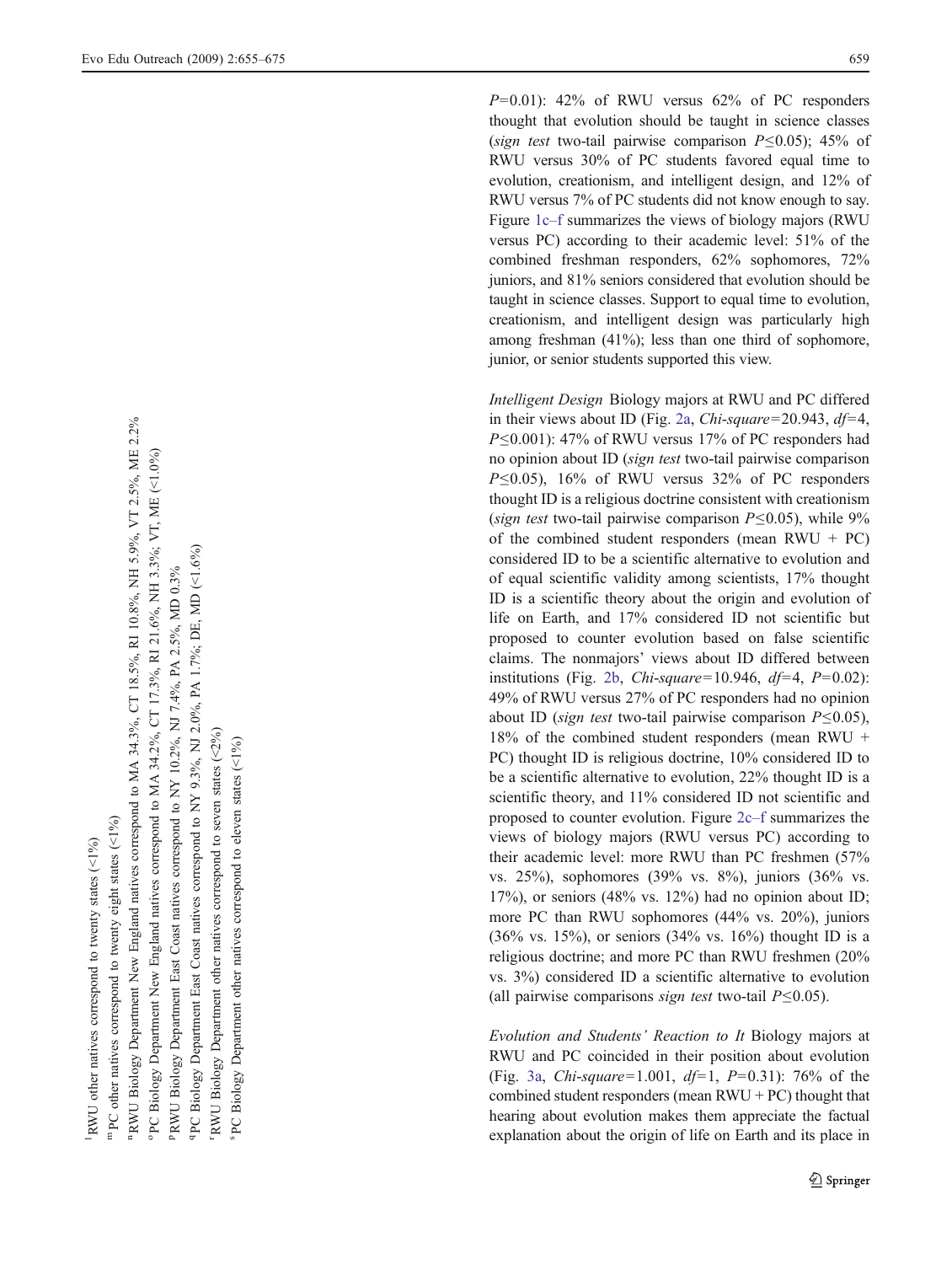m PC other natives correspond to twenty eight states  $(\langle 1\rangle_0)$  ${}^{\text{m}}$ PC other natives correspond to twenty eight states (<1%)

RWU Biology Department New England natives correspond to MA 34.3%, CT 18.5%, RI 10.8%, NH 5.9%, VT 2.5%, ME 2.2% nRWU Biology Department New England natives correspond to MA 34.3%, CT 18.5%, RI 10.8%, NH 5.9%, VT 2.5%, ME 2.2%

<sup>o</sup> PC Biology Department New England natives correspond to MA 34.2%, CT 17.3%, R1 21.6%, NH 3.3%, VT, ME  $\lt$ 1.0%) PC Biology Department New England natives correspond to MA 34.2%, CT 17.3%, RI 21.6%, NH 3.3%; VT, ME  $($  <1.0%)

P RWU Biology Department East Coast natives correspond to NY 10.2%, NJ 7.4%, PA 2.5%, MD 0.3% pRWU Biology Department East Coast natives correspond to NY 10.2%, NJ 7.4%, PA 2.5%, MD 0.3%

<sup>9</sup>PC Biology Department East Coast natives correspond to NY 9.3%, NJ 2.0%, PA 1.7%; DE, MD (<1.6%) PC Biology Department East Coast natives correspond to NY 9.3%, NJ 2.0%, PA 1.7%; DE, MD (<1.6%)

RWU Biology Department other natives correspond to seven states  $(<2%)$ FRWU Biology Department other natives correspond to seven states  $(<2%)$ s

PC Biology Department other natives correspond to eleven states  $(\langle 1\rangle_0)$  ${}^{\circ}$  PC Biology Department other natives correspond to eleven states (<1%)

 $P=0.01$ : 42% of RWU versus 62% of PC responders thought that evolution should be taught in science classes (sign test two-tail pairwise comparison  $P \le 0.05$ ); 45% of RWU versus 30% of PC students favored equal time to evolution, creationism, and intelligent design, and 12% of RWU versus 7% of PC students did not know enough to say. Figure [1c](#page-5-0) – f summarizes the views of biology majors (RWU versus PC) according to their academic level: 51% of the combined freshman responders, 62% sophomores, 72% juniors, and 81% seniors considered that evolution should be taught in science classes. Support to equal time to evolution, creationism, and intelligent design was particularly high among freshman (41%); less than one third of sophomore, junior, or senior students supported this view.

Intelligent Design Biology majors at RWU and PC differed in their views about ID (Fig. [2a](#page-6-0), *Chi-square*=20.943,  $df=4$ , P ≤ 0.001): 47% of RWU versus 17% of PC responders had no opinion about ID (sign test two-tail pairwise comparison  $P \le 0.05$ ), 16% of RWU versus 32% of PC responders thought ID is a religious doctrine consistent with creationism (sign test two-tail pairwise comparison  $P \le 0.05$ ), while 9% of the combined student responders (mean RWU +  $PC$ ) considered ID to be a scientific alternative to evolution and of equal scientific validity among scientists, 17% thought ID is a scientific theory about the origin and evolution of life on Earth, and 17% considered ID not scientific but proposed to counter evolution based on false scientific claims. The nonmajors ' views about ID differed between institutions (Fig. [2b](#page-6-0), Chi-square=10.946,  $df=4$ ,  $P=0.02$ ): 49% of RWU versus 27% of PC responders had no opinion about ID (sign test two-tail pairwise comparison  $P \le 0.05$ ),  $18\%$  of the combined student responders (mean RWU + PC) thought ID is religious doctrine, 10% considered ID to be a scientific alternative to evolution, 22% thought ID is a scientific theory, and 11% considered ID not scientific and proposed to counter evolution. Figure [2c](#page-6-0) – f summarizes the views of biology majors (RWU versus PC) according to their academic level: more RWU than PC freshmen (57% vs. 25%), sophomores (39% vs. 8%), juniors (36% vs.  $17\%$ ), or seniors (48% vs.  $12\%$ ) had no opinion about ID; more PC than RWU sophomores (44% vs. 20%), juniors (36% vs. 15%), or seniors (34% vs. 16%) thought ID is a religious doctrine; and more PC than RWU freshmen (20% vs. 3%) considered ID a scientific alternative to evolution (all pairwise comparisons *sign test* two-tail  $P \le 0.05$ ).

Evolution and Students ' Reaction to It Biology majors at RWU and PC coincided in their position about evolution (Fig. [3a](#page-7-0), *Chi-square*=1.001,  $df=1$ ,  $P=0.31$ ): 76% of the combined student responders (mean  $RWU + PC$ ) thought that hearing about evolution makes them appreciate the factual explanation about the origin of life on Earth and its place in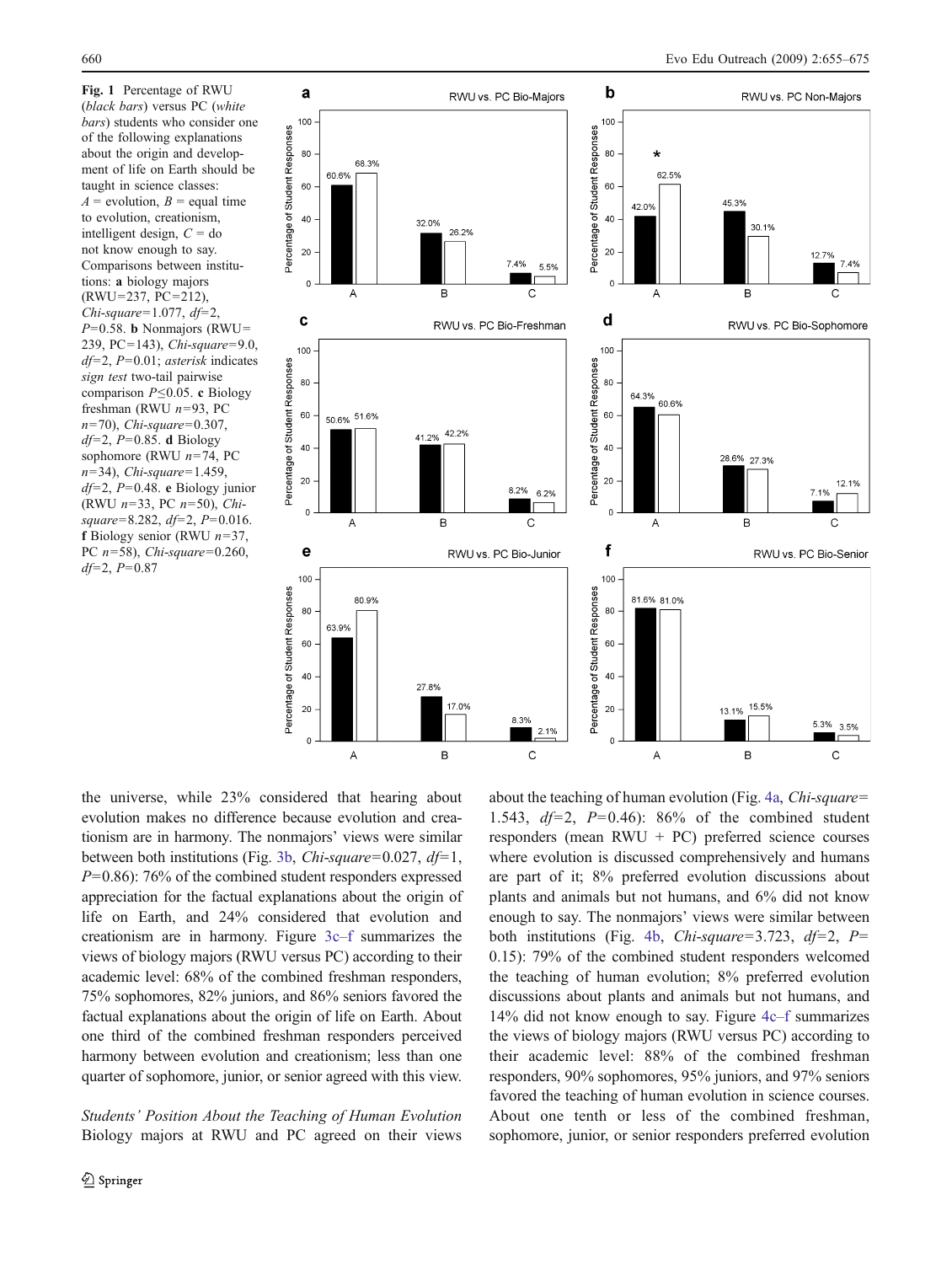<span id="page-5-0"></span>Fig. 1 Percentage of RWU (black bars) versus PC (white bars) students who consider one of the following explanations about the origin and development of life on Earth should be taught in science classes:  $A =$  evolution,  $B =$  equal time to evolution, creationism, intelligent design,  $C =$  do not know enough to say. Comparisons between institutions: a biology majors (RWU=237, PC=212), Chi-square=1.077,  $df=2$ ,  $P=0.58$ . **b** Nonmajors (RWU= 239, PC=143), Chi-square=9.0,  $df=2$ ,  $P=0.01$ ; *asterisk* indicates sign test two-tail pairwise comparison P≤0.05. c Biology freshman (RWU  $n=93$ , PC  $n=70$ ), Chi-square=0.307,  $df=2$ ,  $P=0.85$ . **d** Biology sophomore (RWU  $n=74$ , PC  $n=34$ ), Chi-square=1.459,  $df=2$ ,  $P=0.48$ . e Biology junior (RWU  $n=33$ , PC  $n=50$ ), Chi $square=8.282, df=2, P=0.016.$ **f** Biology senior (RWU  $n=37$ , PC  $n=58$ ), *Chi-square*=0.260,  $df=2, P=0.87$ 



the universe, while 23% considered that hearing about evolution makes no difference because evolution and creationism are in harmony. The nonmajors' views were similar between both institutions (Fig. [3b,](#page-7-0) Chi-square=0.027,  $df=1$ ,  $P=0.86$ : 76% of the combined student responders expressed appreciation for the factual explanations about the origin of life on Earth, and 24% considered that evolution and creationism are in harmony. Figure [3c](#page-7-0)–f summarizes the views of biology majors (RWU versus PC) according to their academic level: 68% of the combined freshman responders, 75% sophomores, 82% juniors, and 86% seniors favored the factual explanations about the origin of life on Earth. About one third of the combined freshman responders perceived harmony between evolution and creationism; less than one quarter of sophomore, junior, or senior agreed with this view.

Students' Position About the Teaching of Human Evolution Biology majors at RWU and PC agreed on their views about the teaching of human evolution (Fig. [4a,](#page-8-0) Chi-square= 1.543,  $df=2$ ,  $P=0.46$ : 86% of the combined student responders (mean RWU + PC) preferred science courses where evolution is discussed comprehensively and humans are part of it; 8% preferred evolution discussions about plants and animals but not humans, and 6% did not know enough to say. The nonmajors' views were similar between both institutions (Fig. [4b](#page-8-0), Chi-square=3.723, df=2, P= 0.15): 79% of the combined student responders welcomed the teaching of human evolution; 8% preferred evolution discussions about plants and animals but not humans, and 14% did not know enough to say. Figure [4c](#page-8-0)–f summarizes the views of biology majors (RWU versus PC) according to their academic level: 88% of the combined freshman responders, 90% sophomores, 95% juniors, and 97% seniors favored the teaching of human evolution in science courses. About one tenth or less of the combined freshman, sophomore, junior, or senior responders preferred evolution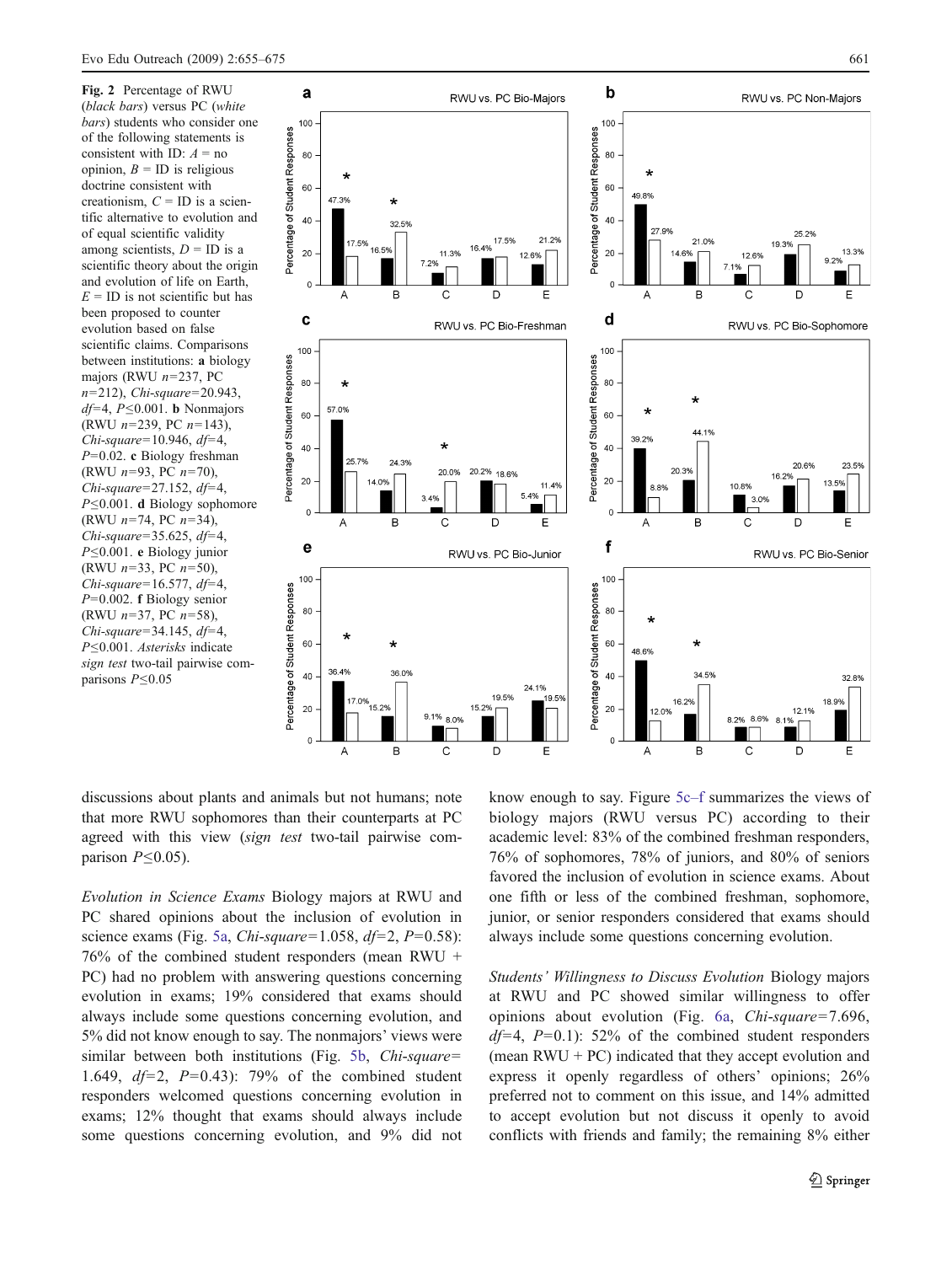<span id="page-6-0"></span>Fig. 2 Percentage of RWU (black bars) versus PC (white bars) students who consider one of the following statements is consistent with ID:  $A =$  no opinion,  $B = ID$  is religious doctrine consistent with creationism,  $C = ID$  is a scientific alternative to evolution and of equal scientific validity among scientists,  $D = ID$  is a scientific theory about the origin and evolution of life on Earth,  $E = ID$  is not scientific but has been proposed to counter evolution based on false scientific claims. Comparisons between institutions: a biology majors (RWU  $n=237$ , PC  $n=212$ ), Chi-square=20.943,  $df=4$ ,  $P\leq 0.001$ . **b** Nonmajors (RWU n=239, PC n=143), Chi-square=10.946,  $df=4$ ,  $P=0.02$ . c Biology freshman (RWU  $n=93$ , PC  $n=70$ ), Chi-square= $27.152, df=4$ ,  $P \leq 0.001$ . **d** Biology sophomore (RWU n=74, PC n=34), Chi-square= $35.625, df=4$ , P≤0.001. e Biology junior (RWU  $n=33$ , PC  $n=50$ ), Chi-square=16.577,  $df=4$ ,  $P=0.002$ . **f** Biology senior (RWU n=37, PC n=58), Chi-square=34.145,  $df=4$ , P≤0.001. Asterisks indicate sign test two-tail pairwise comparisons  $P \leq 0.05$ 



discussions about plants and animals but not humans; note that more RWU sophomores than their counterparts at PC agreed with this view (sign test two-tail pairwise comparison  $P \leq 0.05$ ).

Evolution in Science Exams Biology majors at RWU and PC shared opinions about the inclusion of evolution in science exams (Fig. [5a](#page-9-0), Chi-square=1.058,  $df=2$ ,  $P=0.58$ ):  $76\%$  of the combined student responders (mean RWU + PC) had no problem with answering questions concerning evolution in exams; 19% considered that exams should always include some questions concerning evolution, and 5% did not know enough to say. The nonmajors' views were similar between both institutions (Fig. [5b,](#page-9-0) Chi-square= 1.649,  $df=2$ ,  $P=0.43$ ): 79% of the combined student responders welcomed questions concerning evolution in exams; 12% thought that exams should always include some questions concerning evolution, and 9% did not

know enough to say. Figure [5c](#page-9-0)–f summarizes the views of biology majors (RWU versus PC) according to their academic level: 83% of the combined freshman responders, 76% of sophomores, 78% of juniors, and 80% of seniors favored the inclusion of evolution in science exams. About one fifth or less of the combined freshman, sophomore, junior, or senior responders considered that exams should always include some questions concerning evolution.

Students' Willingness to Discuss Evolution Biology majors at RWU and PC showed similar willingness to offer opinions about evolution (Fig. [6a,](#page-10-0) Chi-square=7.696,  $df=4$ ,  $P=0.1$ ): 52% of the combined student responders (mean  $RWU + PC$ ) indicated that they accept evolution and express it openly regardless of others' opinions; 26% preferred not to comment on this issue, and 14% admitted to accept evolution but not discuss it openly to avoid conflicts with friends and family; the remaining 8% either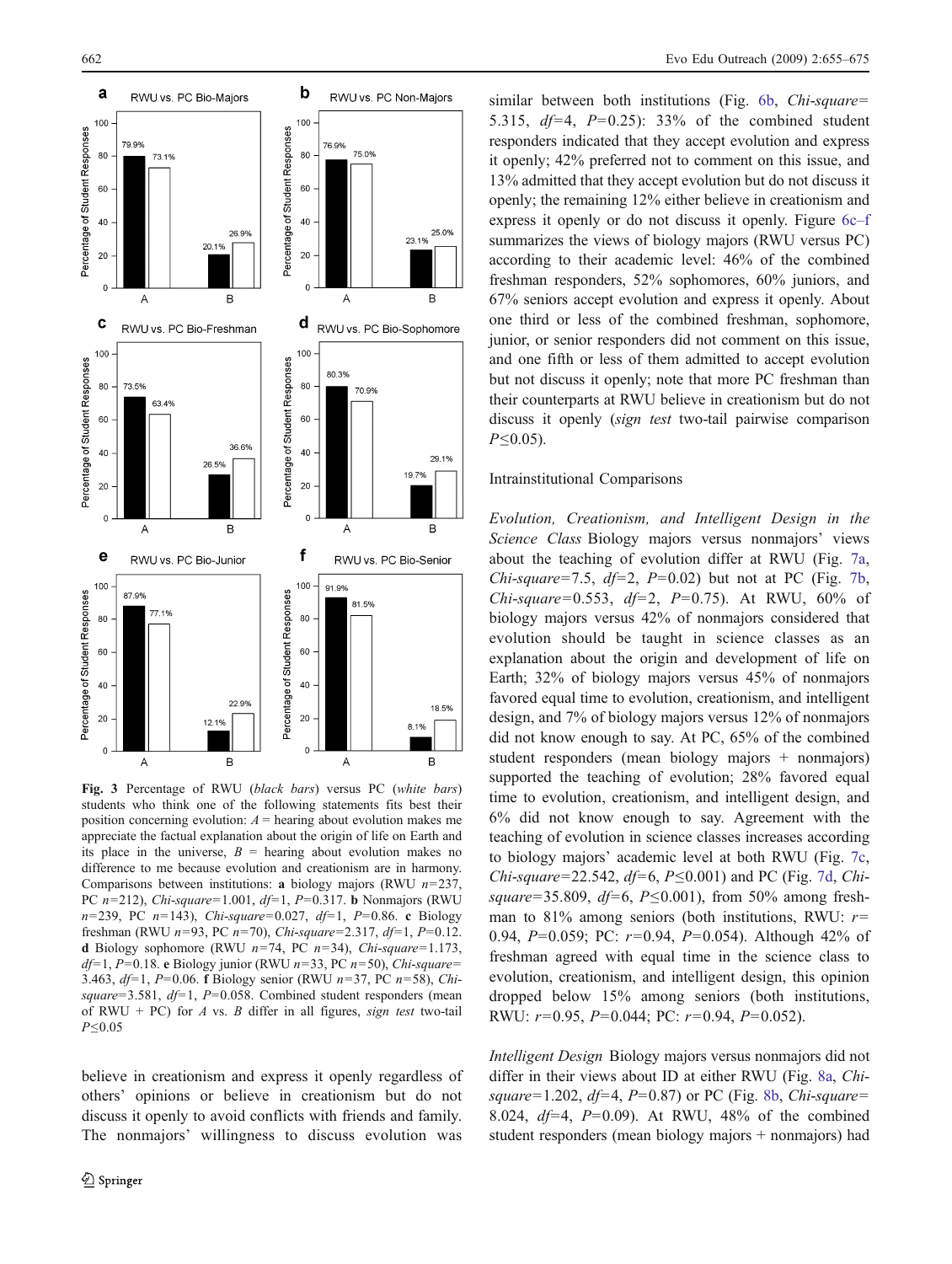<span id="page-7-0"></span>

Fig. 3 Percentage of RWU (black bars) versus PC (white bars) students who think one of the following statements fits best their position concerning evolution:  $A$  = hearing about evolution makes me appreciate the factual explanation about the origin of life on Earth and its place in the universe,  $B =$  hearing about evolution makes no difference to me because evolution and creationism are in harmony. Comparisons between institutions: a biology majors (RWU  $n=237$ , PC  $n=212$ ), *Chi-square*=1.001,  $df=1$ ,  $P=0.317$ . **b** Nonmajors (RWU  $n=239$ , PC  $n=143$ ), Chi-square=0.027, df=1, P=0.86. c Biology freshman (RWU  $n=93$ , PC  $n=70$ ), Chi-square=2.317, df=1, P=0.12. **d** Biology sophomore (RWU  $n=74$ , PC  $n=34$ ), Chi-square=1.173,  $df=1$ , P=0.18. e Biology junior (RWU n=33, PC n=50), Chi-square= 3.463,  $df=1$ , P=0.06. f Biology senior (RWU n=37, PC n=58), Chisquare=3.581,  $df=1$ ,  $P=0.058$ . Combined student responders (mean of RWU + PC) for  $A$  vs.  $B$  differ in all figures, sign test two-tail P≤0.05

believe in creationism and express it openly regardless of others' opinions or believe in creationism but do not discuss it openly to avoid conflicts with friends and family. The nonmajors' willingness to discuss evolution was

similar between both institutions (Fig.  $6b$ , *Chi-square*= 5.315,  $df=4$ ,  $P=0.25$ ): 33% of the combined student responders indicated that they accept evolution and express it openly; 42% preferred not to comment on this issue, and 13% admitted that they accept evolution but do not discuss it openly; the remaining 12% either believe in creationism and express it openly or do not discuss it openly. Figure [6c](#page-10-0)–f summarizes the views of biology majors (RWU versus PC) according to their academic level: 46% of the combined freshman responders, 52% sophomores, 60% juniors, and 67% seniors accept evolution and express it openly. About one third or less of the combined freshman, sophomore, junior, or senior responders did not comment on this issue, and one fifth or less of them admitted to accept evolution but not discuss it openly; note that more PC freshman than their counterparts at RWU believe in creationism but do not discuss it openly (sign test two-tail pairwise comparison  $P \leq 0.05$ ).

#### Intrainstitutional Comparisons

Evolution, Creationism, and Intelligent Design in the Science Class Biology majors versus nonmajors' views about the teaching of evolution differ at RWU (Fig. [7a,](#page-11-0) Chi-square=7.5,  $df=2$ ,  $P=0.02$ ) but not at PC (Fig. [7b,](#page-11-0) Chi-square=0.553, df=2, P=0.75). At RWU,  $60\%$  of biology majors versus 42% of nonmajors considered that evolution should be taught in science classes as an explanation about the origin and development of life on Earth; 32% of biology majors versus 45% of nonmajors favored equal time to evolution, creationism, and intelligent design, and 7% of biology majors versus 12% of nonmajors did not know enough to say. At PC, 65% of the combined student responders (mean biology majors + nonmajors) supported the teaching of evolution; 28% favored equal time to evolution, creationism, and intelligent design, and 6% did not know enough to say. Agreement with the teaching of evolution in science classes increases according to biology majors' academic level at both RWU (Fig. [7c,](#page-11-0) Chi-square=22.542, df=6,  $P \le 0.001$ ) and PC (Fig. [7d](#page-11-0), Chisquare=35.809, df=6,  $P \le 0.001$ ), from 50% among freshman to 81% among seniors (both institutions, RWU:  $r=$ 0.94,  $P=0.059$ ; PC:  $r=0.94$ ,  $P=0.054$ ). Although 42% of freshman agreed with equal time in the science class to evolution, creationism, and intelligent design, this opinion dropped below 15% among seniors (both institutions, RWU:  $r=0.95$ ,  $P=0.044$ ; PC:  $r=0.94$ ,  $P=0.052$ ).

Intelligent Design Biology majors versus nonmajors did not differ in their views about ID at either RWU (Fig. [8a](#page-12-0), Chi-square=1.202, df=4, P=0.87) or PC (Fig. [8b,](#page-12-0) Chi-square= 8.024,  $df=4$ ,  $P=0.09$ ). At RWU, 48% of the combined student responders (mean biology majors + nonmajors) had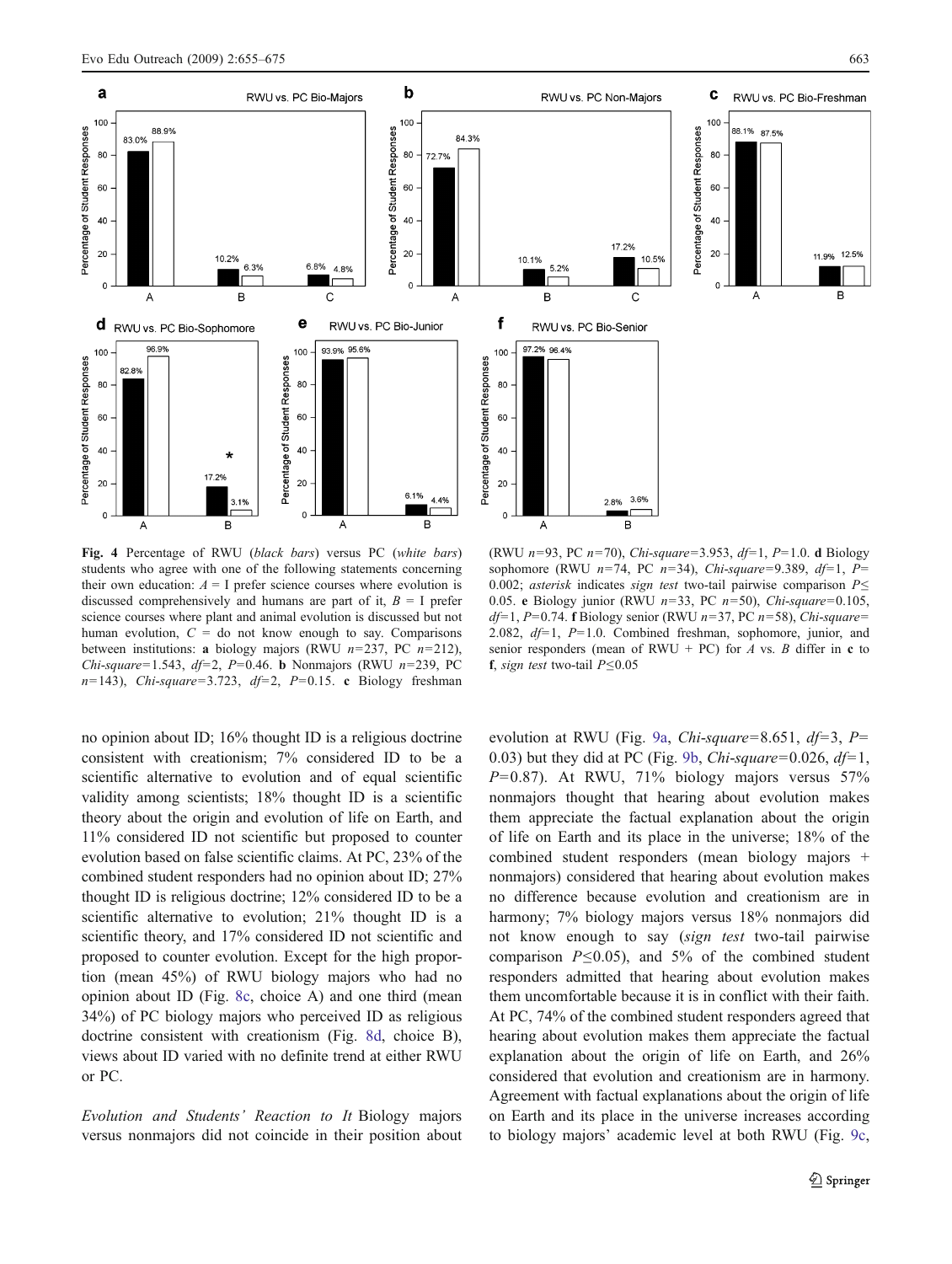<span id="page-8-0"></span>

Fig. 4 Percentage of RWU (black bars) versus PC (white bars) students who agree with one of the following statements concerning their own education:  $A = I$  prefer science courses where evolution is discussed comprehensively and humans are part of it,  $B = I$  prefer science courses where plant and animal evolution is discussed but not human evolution,  $C =$  do not know enough to say. Comparisons between institutions: a biology majors (RWU  $n=237$ , PC  $n=212$ ), Chi-square=1.543, df=2, P=0.46. **b** Nonmajors (RWU  $n=239$ , PC  $n=143$ ), Chi-square=3.723, df=2, P=0.15. c Biology freshman

no opinion about ID; 16% thought ID is a religious doctrine consistent with creationism; 7% considered ID to be a scientific alternative to evolution and of equal scientific validity among scientists; 18% thought ID is a scientific theory about the origin and evolution of life on Earth, and 11% considered ID not scientific but proposed to counter evolution based on false scientific claims. At PC, 23% of the combined student responders had no opinion about ID; 27% thought ID is religious doctrine; 12% considered ID to be a scientific alternative to evolution; 21% thought ID is a scientific theory, and 17% considered ID not scientific and proposed to counter evolution. Except for the high proportion (mean 45%) of RWU biology majors who had no opinion about ID (Fig. [8c,](#page-12-0) choice A) and one third (mean 34%) of PC biology majors who perceived ID as religious doctrine consistent with creationism (Fig. [8d,](#page-12-0) choice B), views about ID varied with no definite trend at either RWU or PC.

Evolution and Students' Reaction to It Biology majors versus nonmajors did not coincide in their position about

(RWU  $n=93$ , PC  $n=70$ ), *Chi-square*=3.953,  $df=1$ ,  $P=1.0$ , **d** Biology sophomore (RWU  $n=74$ , PC  $n=34$ ), Chi-square=9.389, df=1, P= 0.002; asterisk indicates sign test two-tail pairwise comparison  $P \leq$ 0.05. e Biology junior (RWU  $n=33$ , PC  $n=50$ ), Chi-square=0.105,  $df=1$ , P=0.74. f Biology senior (RWU n=37, PC n=58), Chi-square= 2.082,  $df=1$ ,  $P=1.0$ . Combined freshman, sophomore, junior, and senior responders (mean of RWU + PC) for A vs. B differ in c to f, sign test two-tail  $P \leq 0.05$ 

evolution at RWU (Fig. [9a,](#page-13-0) Chi-square=8.651,  $df=3$ , P= 0.03) but they did at PC (Fig. [9b](#page-13-0), Chi-square=0.026,  $df=1$ .  $P=0.87$ ). At RWU, 71% biology majors versus 57% nonmajors thought that hearing about evolution makes them appreciate the factual explanation about the origin of life on Earth and its place in the universe; 18% of the combined student responders (mean biology majors + nonmajors) considered that hearing about evolution makes no difference because evolution and creationism are in harmony; 7% biology majors versus 18% nonmajors did not know enough to say (sign test two-tail pairwise comparison  $P \le 0.05$ ), and 5% of the combined student responders admitted that hearing about evolution makes them uncomfortable because it is in conflict with their faith. At PC, 74% of the combined student responders agreed that hearing about evolution makes them appreciate the factual explanation about the origin of life on Earth, and 26% considered that evolution and creationism are in harmony. Agreement with factual explanations about the origin of life on Earth and its place in the universe increases according to biology majors' academic level at both RWU (Fig. [9c,](#page-13-0)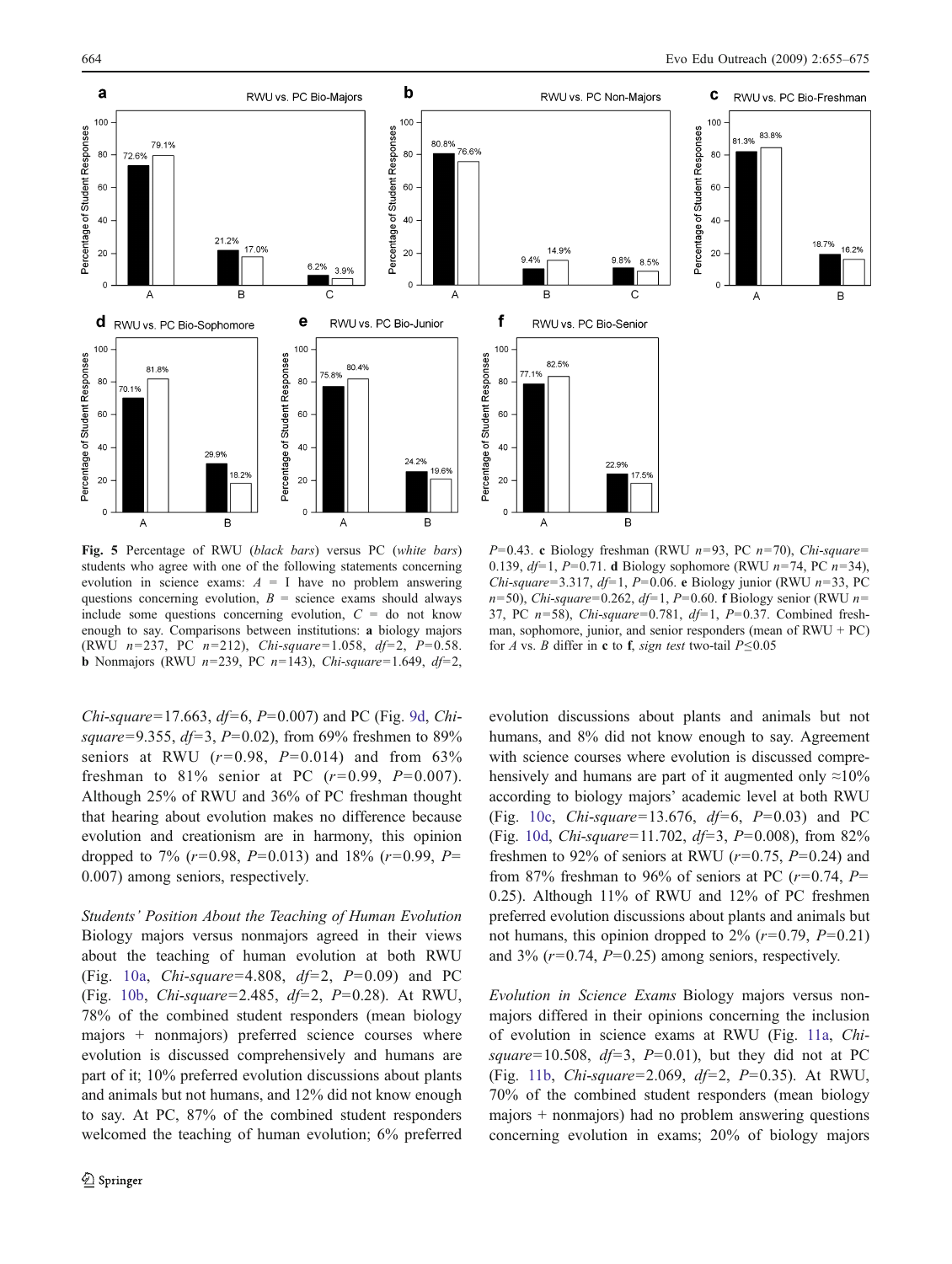<span id="page-9-0"></span>

Fig. 5 Percentage of RWU (black bars) versus PC (white bars) students who agree with one of the following statements concerning evolution in science exams:  $A = I$  have no problem answering questions concerning evolution,  $B =$  science exams should always include some questions concerning evolution,  $C =$  do not know enough to say. Comparisons between institutions: a biology majors (RWU  $n=237$ , PC  $n=212$ ), Chi-square=1.058, df=2, P=0.58. **b** Nonmajors (RWU  $n=239$ , PC  $n=143$ ), Chi-square=1.649, df=2,

 $P=0.43$ . c Biology freshman (RWU  $n=93$ , PC  $n=70$ ), Chi-square= 0.139,  $df=1$ ,  $P=0.71$ . d Biology sophomore (RWU  $n=74$ , PC  $n=34$ ), Chi-square=3.317, df=1, P=0.06. e Biology junior (RWU  $n=33$ , PC  $n=50$ ), Chi-square=0.262, df=1, P=0.60. **f** Biology senior (RWU  $n=$ 37, PC  $n=58$ ), Chi-square=0.781, df=1, P=0.37. Combined freshman, sophomore, junior, and senior responders (mean of  $RWU + PC$ ) for A vs. B differ in c to f, sign test two-tail  $P \le 0.05$ 

Chi-square=17.663,  $df=6$ ,  $P=0.007$ ) and PC (Fig. [9d](#page-13-0), Chisquare=9.355,  $df=3$ ,  $P=0.02$ ), from 69% freshmen to 89% seniors at RWU  $(r=0.98, P=0.014)$  and from 63% freshman to  $81\%$  senior at PC ( $r=0.99$ ,  $P=0.007$ ). Although 25% of RWU and 36% of PC freshman thought that hearing about evolution makes no difference because evolution and creationism are in harmony, this opinion dropped to 7%  $(r=0.98, P=0.013)$  and 18%  $(r=0.99, P=$ 0.007) among seniors, respectively.

Students' Position About the Teaching of Human Evolution Biology majors versus nonmajors agreed in their views about the teaching of human evolution at both RWU (Fig. [10a,](#page-14-0) *Chi-square*=4.808,  $df=2$ ,  $P=0.09$ ) and PC (Fig. [10b](#page-14-0), Chi-square=2.485, df=2, P=0.28). At RWU, 78% of the combined student responders (mean biology majors + nonmajors) preferred science courses where evolution is discussed comprehensively and humans are part of it; 10% preferred evolution discussions about plants and animals but not humans, and 12% did not know enough to say. At PC, 87% of the combined student responders welcomed the teaching of human evolution; 6% preferred evolution discussions about plants and animals but not humans, and 8% did not know enough to say. Agreement with science courses where evolution is discussed comprehensively and humans are part of it augmented only  $\approx 10\%$ according to biology majors' academic level at both RWU (Fig. [10c](#page-14-0), *Chi-square*=13.676,  $df=6$ ,  $P=0.03$ ) and PC (Fig. [10d](#page-14-0), *Chi-square*=11.702,  $df=3$ ,  $P=0.008$ ), from 82% freshmen to 92% of seniors at RWU ( $r=0.75$ ,  $P=0.24$ ) and from 87% freshman to 96% of seniors at PC  $(r=0.74, P=$ 0.25). Although 11% of RWU and 12% of PC freshmen preferred evolution discussions about plants and animals but not humans, this opinion dropped to  $2\%$  ( $r=0.79$ ,  $P=0.21$ ) and 3%  $(r=0.74, P=0.25)$  among seniors, respectively.

Evolution in Science Exams Biology majors versus nonmajors differed in their opinions concerning the inclusion of evolution in science exams at RWU (Fig. [11a,](#page-15-0) Chisquare=10.508,  $df=3$ ,  $P=0.01$ ), but they did not at PC (Fig. [11b](#page-15-0), *Chi-square*=2.069,  $df=2$ ,  $P=0.35$ ). At RWU, 70% of the combined student responders (mean biology majors + nonmajors) had no problem answering questions concerning evolution in exams; 20% of biology majors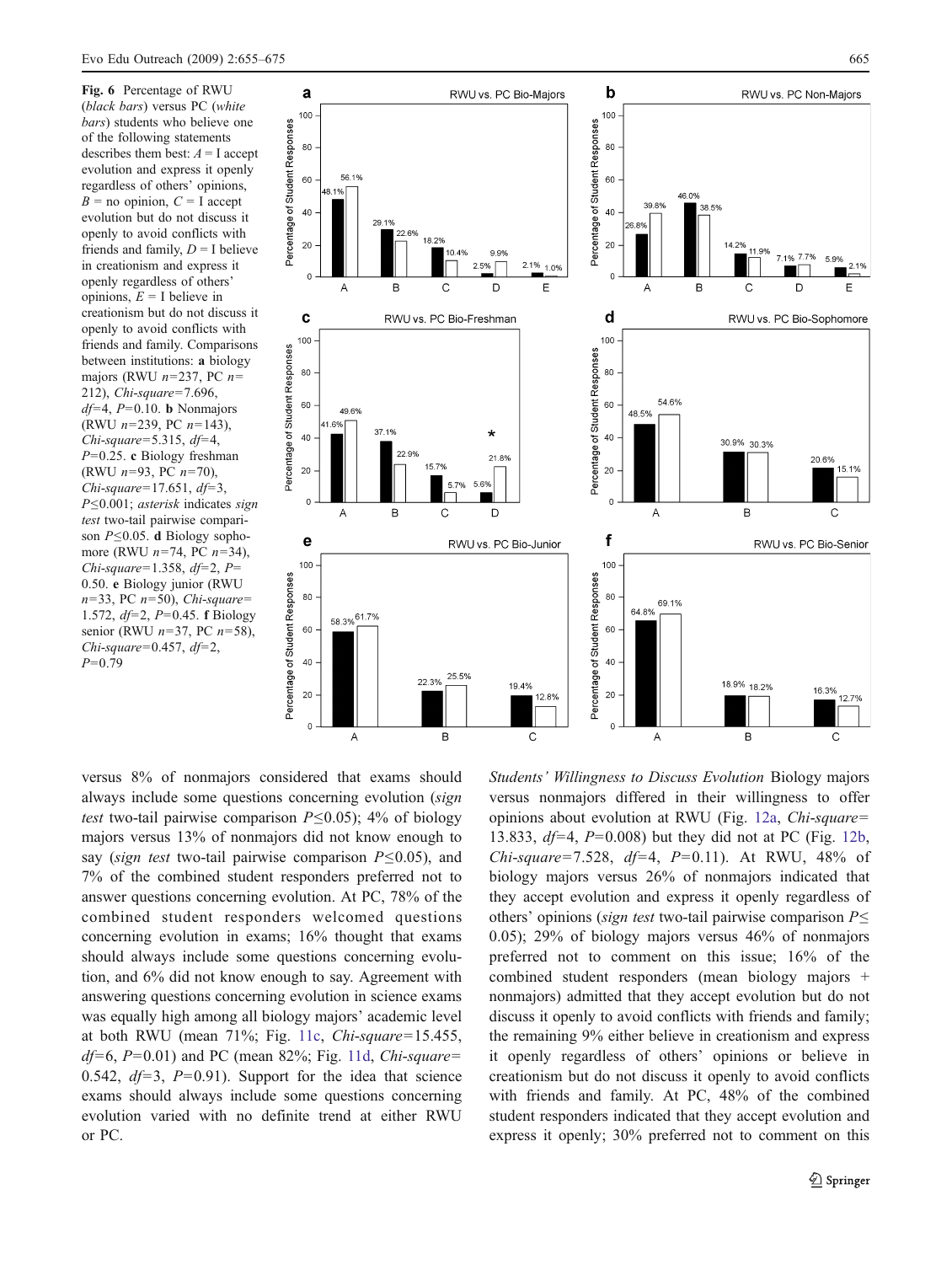<span id="page-10-0"></span>Fig. 6 Percentage of RWU (black bars) versus PC (white bars) students who believe one of the following statements describes them best:  $A = I$  accept evolution and express it openly regardless of others' opinions,  $B =$  no opinion,  $C = I$  accept evolution but do not discuss it openly to avoid conflicts with friends and family,  $D = I$  believe in creationism and express it openly regardless of others' opinions,  $E = I$  believe in creationism but do not discuss it openly to avoid conflicts with friends and family. Comparisons between institutions: a biology majors (RWU  $n=237$ , PC  $n=$ 212), Chi-square=7.696,  $df=4$ ,  $P=0.10$ . **b** Nonmajors (RWU n=239, PC n=143),  $Chi$ -square=5.315,  $df=4$ ,  $P=0.25$ . c Biology freshman (RWU n=93, PC n=70), Chi-square=17.651,  $df=3$ , P≤0.001; asterisk indicates sign test two-tail pairwise comparison  $P \leq 0.05$ . **d** Biology sophomore (RWU  $n=74$ , PC  $n=34$ ), Chi-square=1.358,  $df=2$ ,  $P=$ 0.50. e Biology junior (RWU  $n=33$ , PC  $n=50$ ), Chi-square= 1.572,  $df=2$ ,  $P=0.45$ . **f** Biology senior (RWU  $n=37$ , PC  $n=58$ ), Chi-square=0.457,  $df=2$ ,  $P=0.79$ 



versus 8% of nonmajors considered that exams should always include some questions concerning evolution (sign test two-tail pairwise comparison  $P \le 0.05$ ); 4% of biology majors versus 13% of nonmajors did not know enough to say (sign test two-tail pairwise comparison  $P \leq 0.05$ ), and 7% of the combined student responders preferred not to answer questions concerning evolution. At PC, 78% of the combined student responders welcomed questions concerning evolution in exams; 16% thought that exams should always include some questions concerning evolution, and 6% did not know enough to say. Agreement with answering questions concerning evolution in science exams was equally high among all biology majors' academic level at both RWU (mean 71%; Fig. [11c,](#page-15-0) Chi-square=15.455,  $df=6$ ,  $P=0.01$ ) and PC (mean 82%; Fig. [11d,](#page-15-0) *Chi-square* 0.542,  $df=3$ ,  $P=0.91$ ). Support for the idea that science exams should always include some questions concerning evolution varied with no definite trend at either RWU or PC.

Students' Willingness to Discuss Evolution Biology majors versus nonmajors differed in their willingness to offer opinions about evolution at RWU (Fig. [12a](#page-16-0), Chi-square= 13.833,  $df=4$ ,  $P=0.008$ ) but they did not at PC (Fig. [12b,](#page-16-0) Chi-square=7.528, df=4, P=0.11). At RWU, 48% of biology majors versus 26% of nonmajors indicated that they accept evolution and express it openly regardless of others' opinions (sign test two-tail pairwise comparison  $P \leq$ 0.05); 29% of biology majors versus 46% of nonmajors preferred not to comment on this issue; 16% of the combined student responders (mean biology majors + nonmajors) admitted that they accept evolution but do not discuss it openly to avoid conflicts with friends and family; the remaining 9% either believe in creationism and express it openly regardless of others' opinions or believe in creationism but do not discuss it openly to avoid conflicts with friends and family. At PC, 48% of the combined student responders indicated that they accept evolution and express it openly; 30% preferred not to comment on this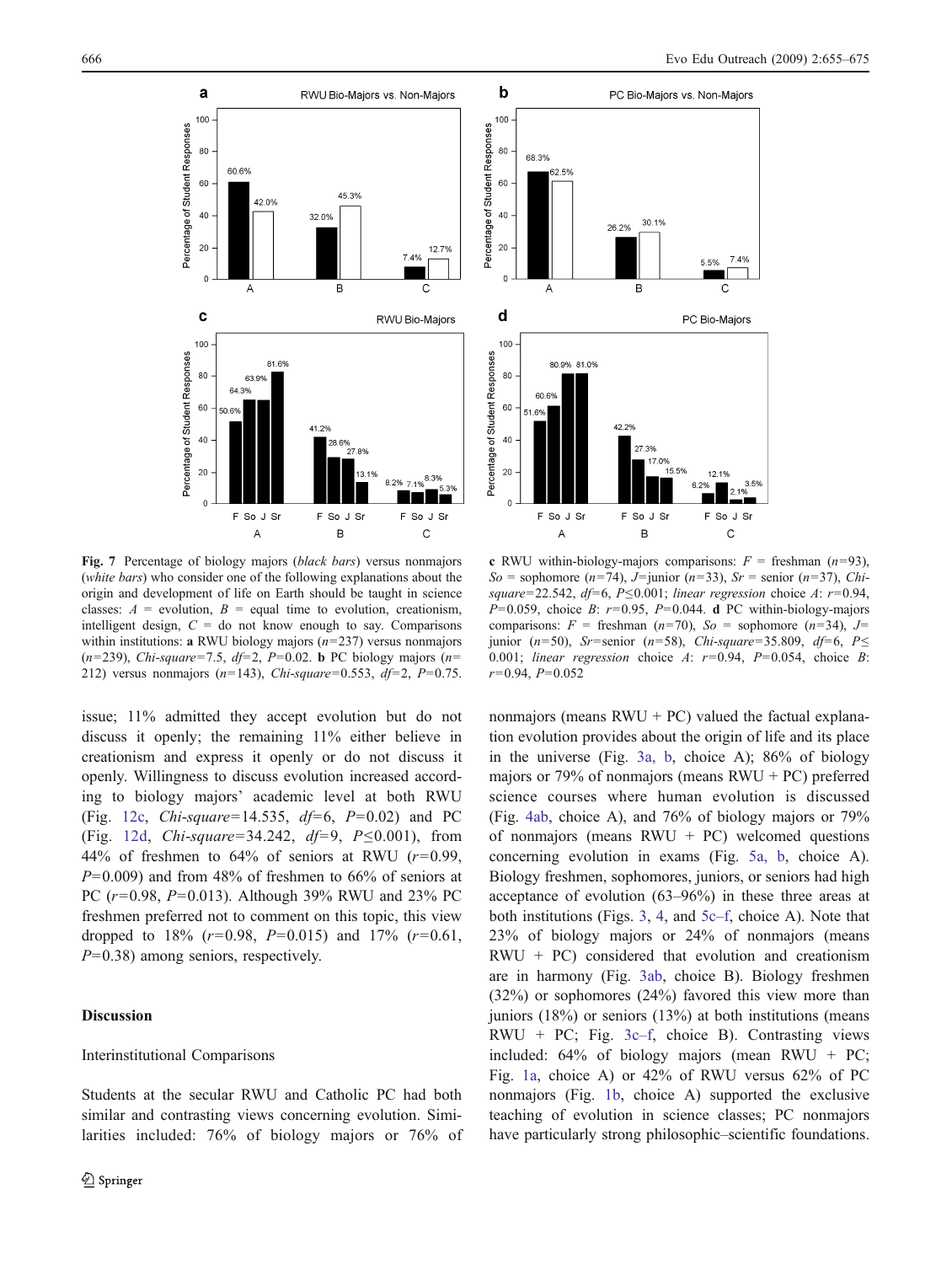<span id="page-11-0"></span>



Fig. 7 Percentage of biology majors (black bars) versus nonmajors (white bars) who consider one of the following explanations about the origin and development of life on Earth should be taught in science classes:  $A =$  evolution,  $B =$  equal time to evolution, creationism, intelligent design,  $C =$  do not know enough to say. Comparisons within institutions: a RWU biology majors  $(n=237)$  versus nonmajors  $(n=239)$ , *Chi-square*=7.5,  $df=2$ ,  $P=0.02$ . **b** PC biology majors  $(n=$ 212) versus nonmajors ( $n=143$ ), Chi-square=0.553, df=2, P=0.75.

issue; 11% admitted they accept evolution but do not discuss it openly; the remaining 11% either believe in creationism and express it openly or do not discuss it openly. Willingness to discuss evolution increased according to biology majors' academic level at both RWU (Fig. [12c,](#page-16-0) *Chi-square*=14.535,  $df=6$ ,  $P=0.02$ ) and PC (Fig. [12d](#page-16-0), Chi-square=34.242, df=9,  $P \le 0.001$ ), from 44% of freshmen to 64% of seniors at RWU  $(r=0.99,$  $P=0.009$ ) and from 48% of freshmen to 66% of seniors at PC (r=0.98, P=0.013). Although 39% RWU and 23% PC freshmen preferred not to comment on this topic, this view dropped to 18%  $(r=0.98, P=0.015)$  and 17%  $(r=0.61,$  $P=0.38$ ) among seniors, respectively.

## Discussion

# Interinstitutional Comparisons

Students at the secular RWU and Catholic PC had both similar and contrasting views concerning evolution. Similarities included: 76% of biology majors or 76% of

c RWU within-biology-majors comparisons:  $F =$  freshman (n=93),  $So =$  sophomore  $(n=74)$ ,  $J=$ junior  $(n=33)$ ,  $Sr =$  senior  $(n=37)$ , *Chi*square=22.542, df=6, P $\leq$ 0.001; linear regression choice A: r=0.94,  $P=0.059$ , choice B:  $r=0.95$ ,  $P=0.044$ . d PC within-biology-majors comparisons:  $F =$  freshman (n=70),  $So =$  sophomore (n=34), J= junior (n=50), Sr=senior (n=58), Chi-square=35.809, df=6,  $P \leq$ 0.001; linear regression choice A:  $r=0.94$ ,  $P=0.054$ , choice B:  $r=0.94$ ,  $P=0.052$ 

nonmajors (means  $RWU + PC$ ) valued the factual explanation evolution provides about the origin of life and its place in the universe (Fig. [3a, b,](#page-7-0) choice A); 86% of biology majors or  $79\%$  of nonmajors (means RWU + PC) preferred science courses where human evolution is discussed (Fig. [4ab](#page-8-0), choice A), and 76% of biology majors or 79% of nonmajors (means  $RWU + PC$ ) welcomed questions concerning evolution in exams (Fig. [5a, b](#page-9-0), choice A). Biology freshmen, sophomores, juniors, or seniors had high acceptance of evolution (63–96%) in these three areas at both institutions (Figs. [3,](#page-7-0) [4,](#page-8-0) and [5c](#page-9-0)–f, choice A). Note that 23% of biology majors or 24% of nonmajors (means RWU + PC) considered that evolution and creationism are in harmony (Fig. [3ab,](#page-7-0) choice B). Biology freshmen (32%) or sophomores (24%) favored this view more than juniors (18%) or seniors (13%) at both institutions (means RWU + PC; Fig. [3c](#page-7-0)–f, choice B). Contrasting views included:  $64\%$  of biology majors (mean RWU + PC; Fig. [1a](#page-5-0), choice A) or 42% of RWU versus 62% of PC nonmajors (Fig. [1b](#page-5-0), choice A) supported the exclusive teaching of evolution in science classes; PC nonmajors have particularly strong philosophic–scientific foundations.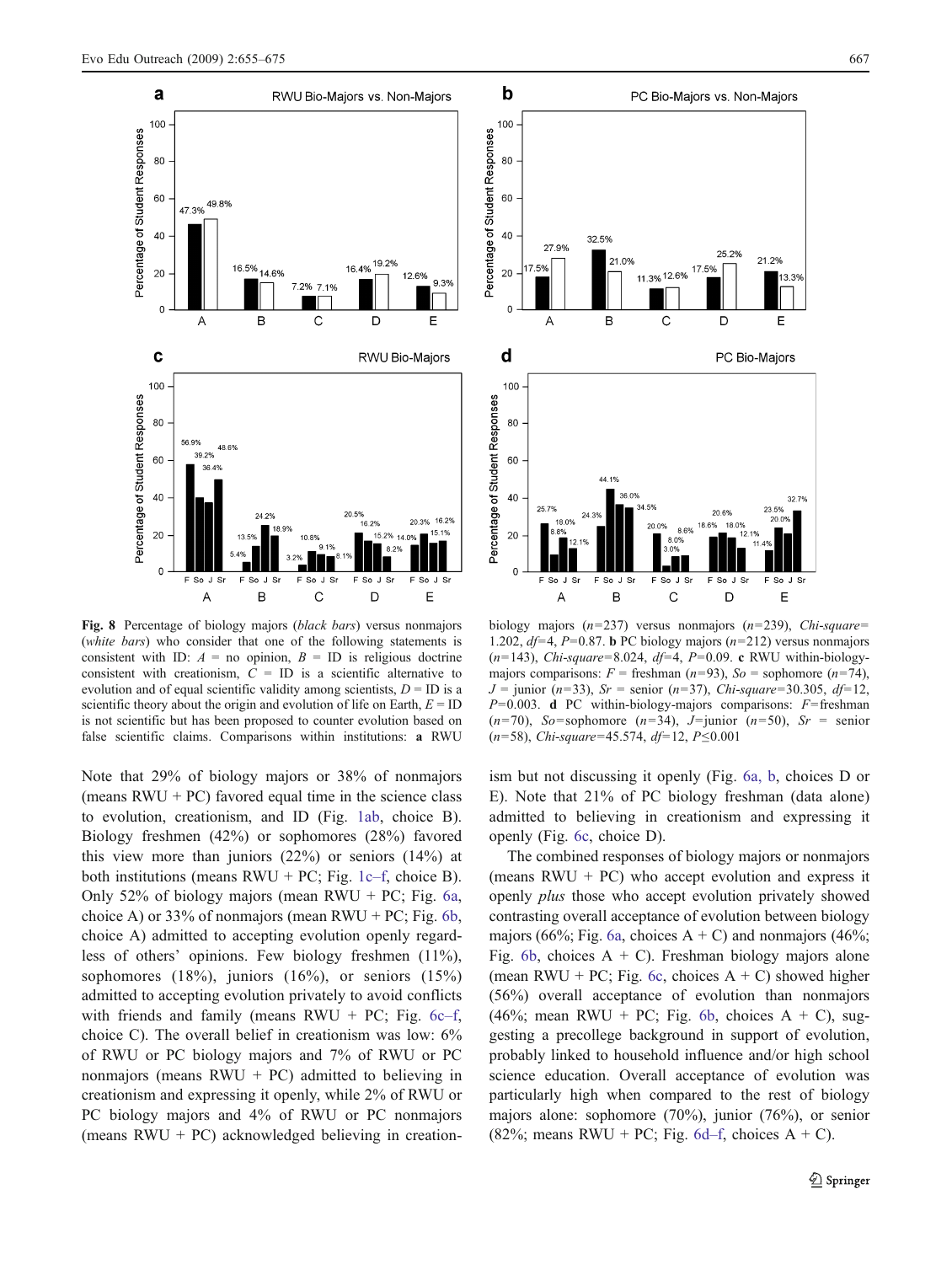<span id="page-12-0"></span>

Fig. 8 Percentage of biology majors (black bars) versus nonmajors (white bars) who consider that one of the following statements is consistent with ID:  $A =$  no opinion,  $B =$  ID is religious doctrine consistent with creationism,  $C = ID$  is a scientific alternative to evolution and of equal scientific validity among scientists,  $D = ID$  is a scientific theory about the origin and evolution of life on Earth,  $E = ID$ is not scientific but has been proposed to counter evolution based on false scientific claims. Comparisons within institutions: a RWU

Note that 29% of biology majors or 38% of nonmajors (means  $RWU + PC$ ) favored equal time in the science class to evolution, creationism, and ID (Fig. [1ab,](#page-5-0) choice B). Biology freshmen (42%) or sophomores (28%) favored this view more than juniors (22%) or seniors (14%) at both institutions (means  $RWU + PC$ ; Fig. [1c](#page-5-0)–f, choice B). Only 52% of biology majors (mean RWU + PC; Fig. [6a,](#page-10-0) choice A) or  $33\%$  of nonmajors (mean RWU + PC; Fig. [6b,](#page-10-0) choice A) admitted to accepting evolution openly regardless of others' opinions. Few biology freshmen (11%), sophomores (18%), juniors (16%), or seniors (15%) admitted to accepting evolution privately to avoid conflicts with friends and family (means RWU + PC; Fig. [6c](#page-10-0)–f, choice C). The overall belief in creationism was low: 6% of RWU or PC biology majors and 7% of RWU or PC nonmajors (means  $RWU + PC$ ) admitted to believing in creationism and expressing it openly, while 2% of RWU or PC biology majors and 4% of RWU or PC nonmajors (means  $RWU + PC$ ) acknowledged believing in creation-



biology majors ( $n=237$ ) versus nonmajors ( $n=239$ ), Chi-square= 1.202,  $df=4$ ,  $P=0.87$ . **b** PC biology majors ( $n=212$ ) versus nonmajors  $(n=143)$ , Chi-square=8.024, df=4, P=0.09. c RWU within-biologymajors comparisons:  $F =$  freshman (n=93),  $So =$  sophomore (n=74),  $J =$  junior (n=33), Sr = senior (n=37), Chi-square=30.305, df=12,  $P=0.003$ . d PC within-biology-majors comparisons:  $F=$  freshman  $(n=70)$ , So=sophomore  $(n=34)$ , J=junior  $(n=50)$ , Sr = senior  $(n=58)$ , Chi-square=45.574, df=12, P  $\leq$  0.001

ism but not discussing it openly (Fig. [6a, b,](#page-10-0) choices D or E). Note that 21% of PC biology freshman (data alone) admitted to believing in creationism and expressing it openly (Fig. [6c,](#page-10-0) choice D).

The combined responses of biology majors or nonmajors (means  $RWU + PC$ ) who accept evolution and express it openly plus those who accept evolution privately showed contrasting overall acceptance of evolution between biology majors (66%; Fig. [6a](#page-10-0), choices  $A + C$ ) and nonmajors (46%; Fig. [6b](#page-10-0), choices  $A + C$ ). Freshman biology majors alone (mean RWU + PC; Fig. [6c,](#page-10-0) choices  $A + C$ ) showed higher (56%) overall acceptance of evolution than nonmajors  $(46\%; \text{ mean RWU} + \text{PC}; \text{ Fig. 6b, choices A} + \text{C}), \text{ sug-}$  $(46\%; \text{ mean RWU} + \text{PC}; \text{ Fig. 6b, choices A} + \text{C}), \text{ sug-}$  $(46\%; \text{ mean RWU} + \text{PC}; \text{ Fig. 6b, choices A} + \text{C}), \text{ sug-}$ gesting a precollege background in support of evolution, probably linked to household influence and/or high school science education. Overall acceptance of evolution was particularly high when compared to the rest of biology majors alone: sophomore (70%), junior (76%), or senior (82%; means RWU + PC; Fig. [6d](#page-10-0)–f, choices  $A + C$ ).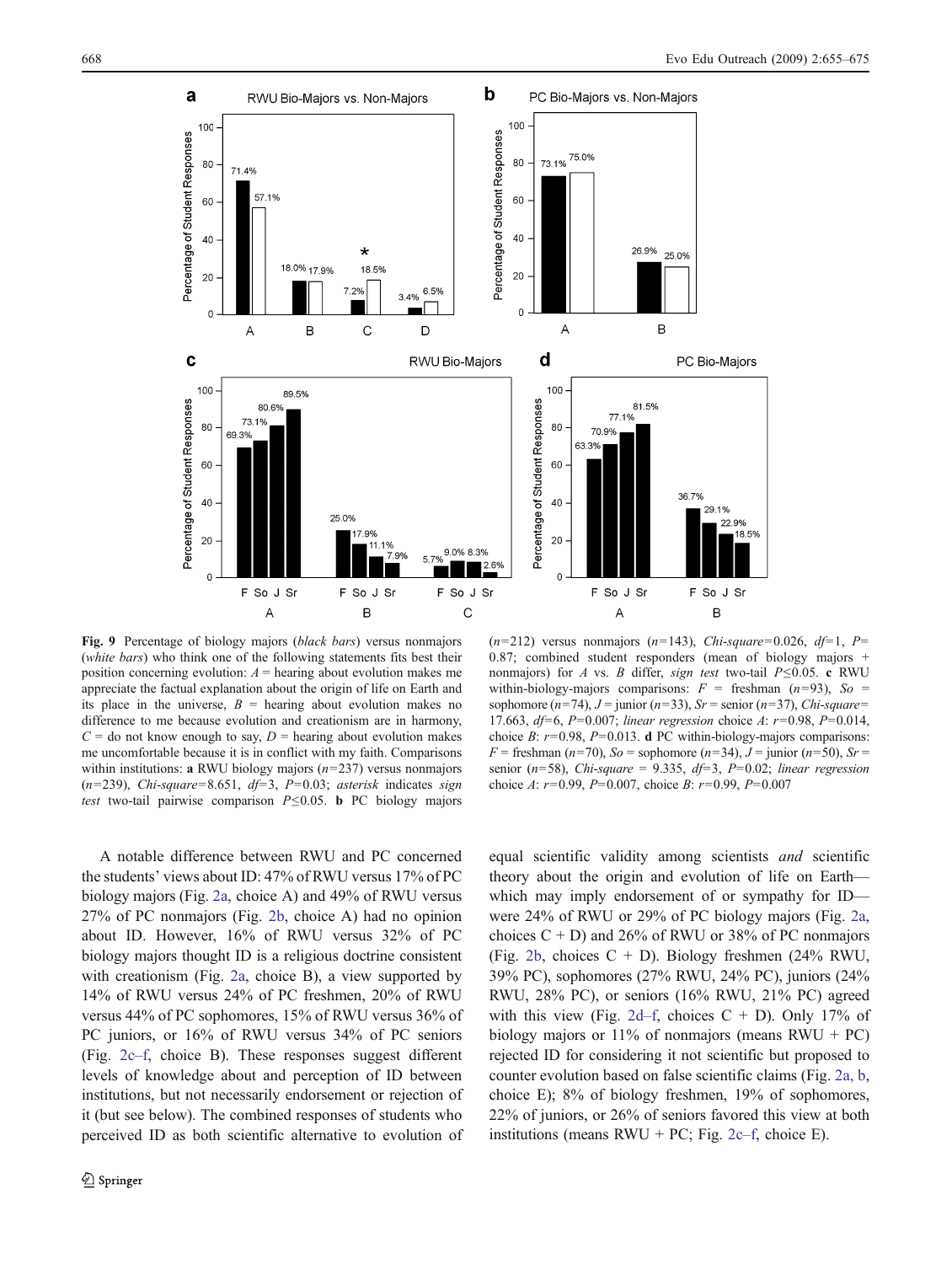<span id="page-13-0"></span>

Fig. 9 Percentage of biology majors (black bars) versus nonmajors (white bars) who think one of the following statements fits best their position concerning evolution:  $A =$  hearing about evolution makes me appreciate the factual explanation about the origin of life on Earth and its place in the universe,  $B =$  hearing about evolution makes no difference to me because evolution and creationism are in harmony,  $C =$  do not know enough to say,  $D =$  hearing about evolution makes me uncomfortable because it is in conflict with my faith. Comparisons within institutions: a RWU biology majors  $(n=237)$  versus nonmajors (n=239), Chi-square=8.651, df=3, P=0.03; asterisk indicates sign test two-tail pairwise comparison  $P \leq 0.05$ . **b** PC biology majors

 $(n=212)$  versus nonmajors  $(n=143)$ , *Chi-square*=0.026, *df*=1, *P*= 0.87; combined student responders (mean of biology majors + nonmajors) for A vs. B differ, sign test two-tail  $P \le 0.05$ . c RWU within-biology-majors comparisons:  $F = \text{freshman}$  (n=93), So = sophomore ( $n=74$ ),  $J =$  junior ( $n=33$ ),  $Sr =$  senior ( $n=37$ ), Chi-square= 17.663,  $df=6$ ,  $P=0.007$ ; linear regression choice A:  $r=0.98$ ,  $P=0.014$ , choice B:  $r=0.98$ ,  $P=0.013$ . d PC within-biology-majors comparisons:  $F =$  freshman (n=70), So = sophomore (n=34), J = junior (n=50), Sr = senior ( $n=58$ ), Chi-square = 9.335,  $df=3$ ,  $P=0.02$ ; linear regression choice A:  $r=0.99$ ,  $P=0.007$ , choice B:  $r=0.99$ ,  $P=0.007$ 

A notable difference between RWU and PC concerned the students' views about ID: 47% of RWU versus 17% of PC biology majors (Fig. [2a](#page-6-0), choice A) and 49% of RWU versus 27% of PC nonmajors (Fig. [2b,](#page-6-0) choice A) had no opinion about ID. However, 16% of RWU versus 32% of PC biology majors thought ID is a religious doctrine consistent with creationism (Fig. [2a,](#page-6-0) choice B), a view supported by 14% of RWU versus 24% of PC freshmen, 20% of RWU versus 44% of PC sophomores, 15% of RWU versus 36% of PC juniors, or 16% of RWU versus 34% of PC seniors (Fig. [2c](#page-6-0)–f, choice B). These responses suggest different levels of knowledge about and perception of ID between institutions, but not necessarily endorsement or rejection of it (but see below). The combined responses of students who perceived ID as both scientific alternative to evolution of equal scientific validity among scientists and scientific theory about the origin and evolution of life on Earth which may imply endorsement of or sympathy for ID were 24% of RWU or 29% of PC biology majors (Fig. [2a,](#page-6-0) choices  $C + D$ ) and 26% of RWU or 38% of PC nonmajors (Fig. [2b](#page-6-0), choices  $C + D$ ). Biology freshmen (24% RWU, 39% PC), sophomores (27% RWU, 24% PC), juniors (24% RWU, 28% PC), or seniors (16% RWU, 21% PC) agreed with this view (Fig. [2d](#page-6-0)–f, choices  $C + D$ ). Only 17% of biology majors or 11% of nonmajors (means  $RWU + PC$ ) rejected ID for considering it not scientific but proposed to counter evolution based on false scientific claims (Fig. [2a, b,](#page-6-0) choice E); 8% of biology freshmen, 19% of sophomores, 22% of juniors, or 26% of seniors favored this view at both institutions (means  $RWU + PC$ ; Fig. [2c](#page-6-0)–f, choice E).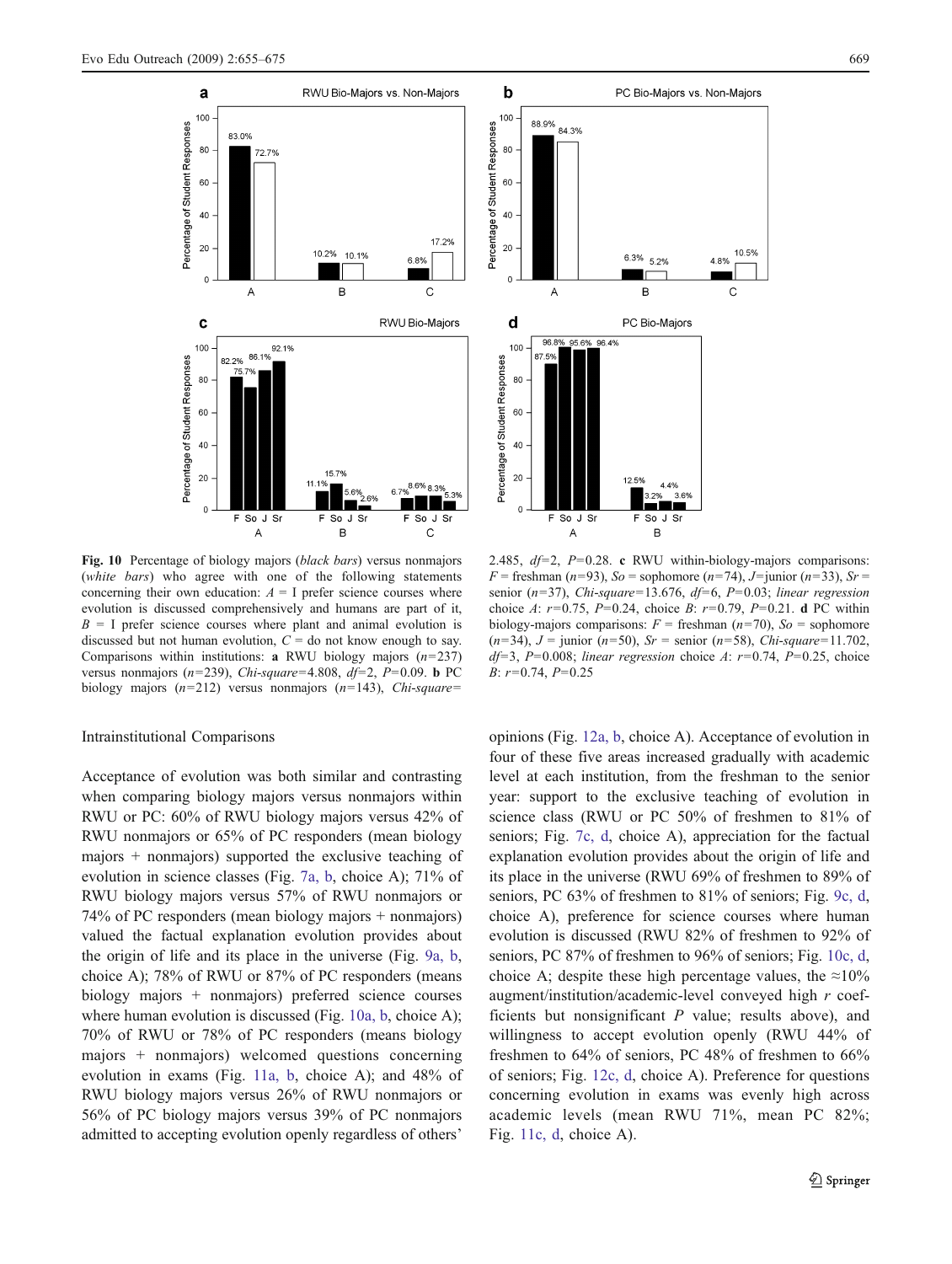<span id="page-14-0"></span>



Fig. 10 Percentage of biology majors (black bars) versus nonmajors (white bars) who agree with one of the following statements concerning their own education:  $A = I$  prefer science courses where evolution is discussed comprehensively and humans are part of it,  $B = I$  prefer science courses where plant and animal evolution is discussed but not human evolution,  $C =$  do not know enough to say. Comparisons within institutions: a RWU biology majors  $(n=237)$ versus nonmajors ( $n=239$ ), Chi-square=4.808, df=2, P=0.09. **b** PC biology majors  $(n=212)$  versus nonmajors  $(n=143)$ , Chi-square=

#### Intrainstitutional Comparisons

Acceptance of evolution was both similar and contrasting when comparing biology majors versus nonmajors within RWU or PC: 60% of RWU biology majors versus 42% of RWU nonmajors or 65% of PC responders (mean biology majors + nonmajors) supported the exclusive teaching of evolution in science classes (Fig. [7a, b](#page-11-0), choice A); 71% of RWU biology majors versus 57% of RWU nonmajors or 74% of PC responders (mean biology majors + nonmajors) valued the factual explanation evolution provides about the origin of life and its place in the universe (Fig. [9a, b,](#page-13-0) choice A); 78% of RWU or 87% of PC responders (means biology majors + nonmajors) preferred science courses where human evolution is discussed (Fig. 10a, b, choice A); 70% of RWU or 78% of PC responders (means biology majors + nonmajors) welcomed questions concerning evolution in exams (Fig. [11a, b](#page-15-0), choice A); and 48% of RWU biology majors versus 26% of RWU nonmajors or 56% of PC biology majors versus 39% of PC nonmajors admitted to accepting evolution openly regardless of others'

2.485,  $df=2$ ,  $P=0.28$ . c RWU within-biology-majors comparisons:  $F =$  freshman (n=93), So = sophomore (n=74), J=junior (n=33), Sr = senior ( $n=37$ ), Chi-square=13.676, df=6, P=0.03; linear regression choice A:  $r=0.75$ ,  $P=0.24$ , choice B:  $r=0.79$ ,  $P=0.21$ . d PC within biology-majors comparisons:  $F =$  freshman ( $n=70$ ),  $So =$  sophomore  $(n=34)$ ,  $J =$  junior  $(n=50)$ ,  $Sr =$  senior  $(n=58)$ , *Chi-square*=11.702,  $df=3$ , P=0.008; linear regression choice A: r=0.74, P=0.25, choice B:  $r=0.74$ ,  $P=0.25$ 

opinions (Fig. [12a, b,](#page-16-0) choice A). Acceptance of evolution in four of these five areas increased gradually with academic level at each institution, from the freshman to the senior year: support to the exclusive teaching of evolution in science class (RWU or PC 50% of freshmen to 81% of seniors; Fig. [7c, d,](#page-11-0) choice A), appreciation for the factual explanation evolution provides about the origin of life and its place in the universe (RWU 69% of freshmen to 89% of seniors, PC 63% of freshmen to 81% of seniors; Fig. [9c, d,](#page-13-0) choice A), preference for science courses where human evolution is discussed (RWU 82% of freshmen to 92% of seniors, PC 87% of freshmen to 96% of seniors; Fig. 10c, d, choice A; despite these high percentage values, the  $\approx 10\%$ augment/institution/academic-level conveyed high r coefficients but nonsignificant P value; results above), and willingness to accept evolution openly (RWU 44% of freshmen to 64% of seniors, PC 48% of freshmen to 66% of seniors; Fig. [12c, d,](#page-16-0) choice A). Preference for questions concerning evolution in exams was evenly high across academic levels (mean RWU 71%, mean PC 82%; Fig. [11c, d](#page-15-0), choice A).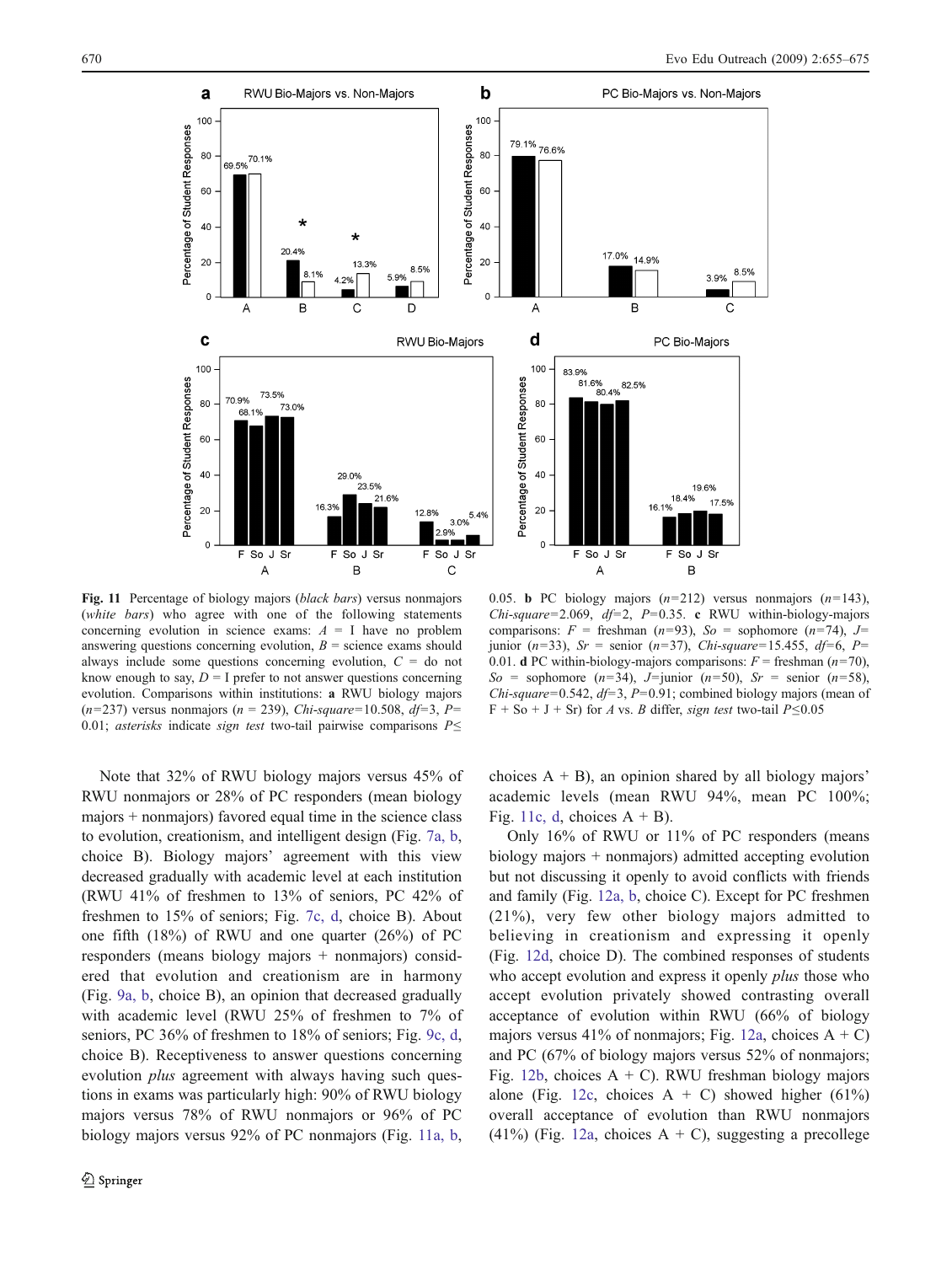<span id="page-15-0"></span>

Fig. 11 Percentage of biology majors (black bars) versus nonmajors (white bars) who agree with one of the following statements concerning evolution in science exams:  $A = I$  have no problem answering questions concerning evolution,  $B$  = science exams should always include some questions concerning evolution,  $C =$  do not know enough to say,  $D = I$  prefer to not answer questions concerning evolution. Comparisons within institutions: a RWU biology majors  $(n=237)$  versus nonmajors  $(n = 239)$ , *Chi-square*=10.508, *df*=3, *P*= 0.01; asterisks indicate sign test two-tail pairwise comparisons  $P \leq$ 

0.05. **b** PC biology majors  $(n=212)$  versus nonmajors  $(n=143)$ , Chi-square=2.069,  $df=2$ , P=0.35. c RWU within-biology-majors comparisons:  $F =$  freshman (n=93),  $So =$  sophomore (n=74), J= junior (n=33),  $Sr =$  senior (n=37), Chi-square=15.455, df=6, P= 0.01. d PC within-biology-majors comparisons:  $F =$  freshman (n=70),  $So =$  sophomore  $(n=34)$ ,  $J=$ junior  $(n=50)$ ,  $Sr =$  senior  $(n=58)$ , Chi-square=0.542,  $df=3$ ,  $P=0.91$ ; combined biology majors (mean of F + So + J + Sr) for A vs. B differ, sign test two-tail  $P \le 0.05$ 

Note that 32% of RWU biology majors versus 45% of RWU nonmajors or 28% of PC responders (mean biology majors + nonmajors) favored equal time in the science class to evolution, creationism, and intelligent design (Fig. [7a, b,](#page-11-0) choice B). Biology majors' agreement with this view decreased gradually with academic level at each institution (RWU 41% of freshmen to 13% of seniors, PC 42% of freshmen to 15% of seniors; Fig. [7c, d](#page-11-0), choice B). About one fifth (18%) of RWU and one quarter (26%) of PC responders (means biology majors + nonmajors) considered that evolution and creationism are in harmony (Fig. [9a, b,](#page-13-0) choice B), an opinion that decreased gradually with academic level (RWU 25% of freshmen to 7% of seniors, PC 36% of freshmen to 18% of seniors; Fig. [9c, d,](#page-13-0) choice B). Receptiveness to answer questions concerning evolution plus agreement with always having such questions in exams was particularly high: 90% of RWU biology majors versus 78% of RWU nonmajors or 96% of PC biology majors versus 92% of PC nonmajors (Fig. 11a, b,

choices  $A + B$ ), an opinion shared by all biology majors' academic levels (mean RWU 94%, mean PC 100%; Fig. 11c, d, choices  $A + B$ ).

Only 16% of RWU or 11% of PC responders (means biology majors + nonmajors) admitted accepting evolution but not discussing it openly to avoid conflicts with friends and family (Fig. [12a, b](#page-16-0), choice C). Except for PC freshmen (21%), very few other biology majors admitted to believing in creationism and expressing it openly (Fig. [12d,](#page-16-0) choice D). The combined responses of students who accept evolution and express it openly *plus* those who accept evolution privately showed contrasting overall acceptance of evolution within RWU (66% of biology majors versus 41% of nonmajors; Fig. [12a](#page-16-0), choices  $A + C$ ) and PC (67% of biology majors versus 52% of nonmajors; Fig. [12b,](#page-16-0) choices  $A + C$ ). RWU freshman biology majors alone (Fig. [12c,](#page-16-0) choices  $A + C$ ) showed higher (61%) overall acceptance of evolution than RWU nonmajors (41%) (Fig. [12a,](#page-16-0) choices  $A + C$ ), suggesting a precollege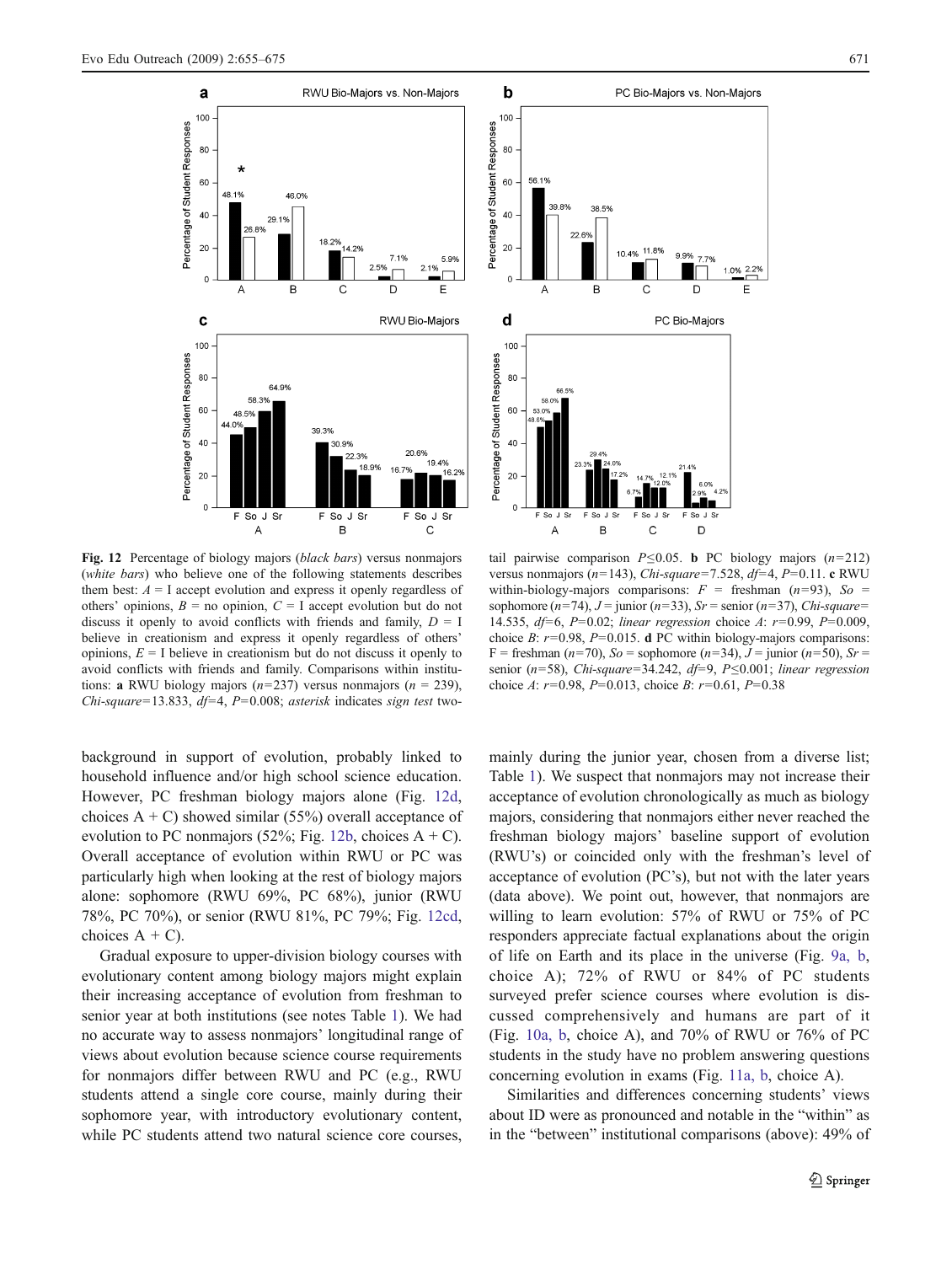<span id="page-16-0"></span>

Fig. 12 Percentage of biology majors (black bars) versus nonmajors (white bars) who believe one of the following statements describes them best:  $A = I$  accept evolution and express it openly regardless of others' opinions,  $B =$  no opinion,  $C = I$  accept evolution but do not discuss it openly to avoid conflicts with friends and family,  $D = I$ believe in creationism and express it openly regardless of others' opinions,  $E = I$  believe in creationism but do not discuss it openly to avoid conflicts with friends and family. Comparisons within institutions: a RWU biology majors ( $n=237$ ) versus nonmajors ( $n = 239$ ), Chi-square=13.833, df=4, P=0.008; asterisk indicates sign test two-

background in support of evolution, probably linked to household influence and/or high school science education. However, PC freshman biology majors alone (Fig. 12d, choices  $A + C$ ) showed similar (55%) overall acceptance of evolution to PC nonmajors (52%; Fig. 12b, choices  $A + C$ ). Overall acceptance of evolution within RWU or PC was particularly high when looking at the rest of biology majors alone: sophomore (RWU 69%, PC 68%), junior (RWU 78%, PC 70%), or senior (RWU 81%, PC 79%; Fig. 12cd, choices  $A + C$ ).

Gradual exposure to upper-division biology courses with evolutionary content among biology majors might explain their increasing acceptance of evolution from freshman to senior year at both institutions (see notes Table [1\)](#page-3-0). We had no accurate way to assess nonmajors' longitudinal range of views about evolution because science course requirements for nonmajors differ between RWU and PC (e.g., RWU students attend a single core course, mainly during their sophomore year, with introductory evolutionary content, while PC students attend two natural science core courses,



D

 $\mathsf{C}$ 

PC Bio-Maiors vs. Non-Maiors

9.9% 7.7%

D

PC Bio-Majors

E

38.5%

B

10.4% 11.8%

 $\mathsf{C}$ 

 $22.69$ 

A

**66.5%** 

So J S

 $\overline{A}$ 

 $\overline{B}$ 

mainly during the junior year, chosen from a diverse list; Table [1\)](#page-3-0). We suspect that nonmajors may not increase their acceptance of evolution chronologically as much as biology majors, considering that nonmajors either never reached the freshman biology majors' baseline support of evolution (RWU's) or coincided only with the freshman's level of acceptance of evolution (PC's), but not with the later years (data above). We point out, however, that nonmajors are willing to learn evolution: 57% of RWU or 75% of PC responders appreciate factual explanations about the origin of life on Earth and its place in the universe (Fig. [9a, b,](#page-13-0) choice A); 72% of RWU or 84% of PC students surveyed prefer science courses where evolution is discussed comprehensively and humans are part of it (Fig. [10a, b,](#page-14-0) choice A), and 70% of RWU or 76% of PC students in the study have no problem answering questions concerning evolution in exams (Fig. [11a, b,](#page-15-0) choice A).

Similarities and differences concerning students' views about ID were as pronounced and notable in the "within" as in the "between" institutional comparisons (above): 49% of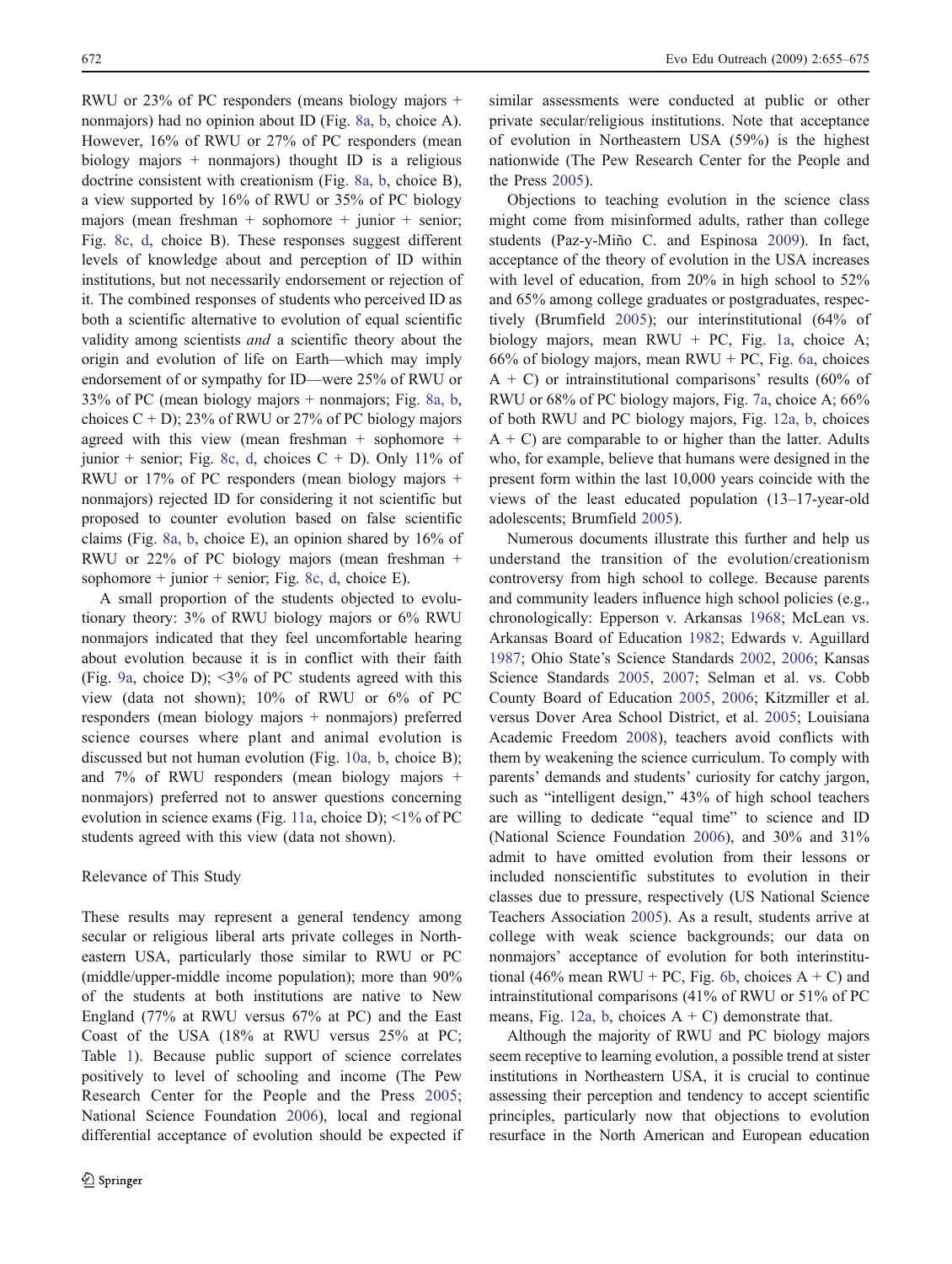RWU or 23% of PC responders (means biology majors + nonmajors) had no opinion about ID (Fig. [8a, b](#page-12-0), choice A). However, 16% of RWU or 27% of PC responders (mean biology majors  $+$  nonmajors) thought ID is a religious doctrine consistent with creationism (Fig. [8a, b,](#page-12-0) choice B), a view supported by 16% of RWU or 35% of PC biology majors (mean freshman + sophomore + junior + senior; Fig. [8c, d](#page-12-0), choice B). These responses suggest different levels of knowledge about and perception of ID within institutions, but not necessarily endorsement or rejection of it. The combined responses of students who perceived ID as both a scientific alternative to evolution of equal scientific validity among scientists and a scientific theory about the origin and evolution of life on Earth—which may imply endorsement of or sympathy for ID—were 25% of RWU or 33% of PC (mean biology majors + nonmajors; Fig. [8a, b,](#page-12-0) choices  $C + D$ ); 23% of RWU or 27% of PC biology majors agreed with this view (mean freshman + sophomore + junior + senior; Fig. [8c, d,](#page-12-0) choices  $C + D$ ). Only 11% of RWU or 17% of PC responders (mean biology majors + nonmajors) rejected ID for considering it not scientific but proposed to counter evolution based on false scientific claims (Fig. [8a, b,](#page-12-0) choice E), an opinion shared by 16% of RWU or 22% of PC biology majors (mean freshman + sophomore + junior + senior; Fig. [8c, d,](#page-12-0) choice E).

A small proportion of the students objected to evolutionary theory: 3% of RWU biology majors or 6% RWU nonmajors indicated that they feel uncomfortable hearing about evolution because it is in conflict with their faith (Fig. [9a](#page-13-0), choice D); <3% of PC students agreed with this view (data not shown); 10% of RWU or 6% of PC responders (mean biology majors + nonmajors) preferred science courses where plant and animal evolution is discussed but not human evolution (Fig. [10a, b](#page-14-0), choice B); and  $7\%$  of RWU responders (mean biology majors + nonmajors) preferred not to answer questions concerning evolution in science exams (Fig. [11a,](#page-15-0) choice D); <1% of PC students agreed with this view (data not shown).

#### Relevance of This Study

These results may represent a general tendency among secular or religious liberal arts private colleges in Northeastern USA, particularly those similar to RWU or PC (middle/upper-middle income population); more than 90% of the students at both institutions are native to New England (77% at RWU versus 67% at PC) and the East Coast of the USA (18% at RWU versus 25% at PC; Table [1\)](#page-3-0). Because public support of science correlates positively to level of schooling and income (The Pew Research Center for the People and the Press [2005](#page-20-0); National Science Foundation [2006](#page-20-0)), local and regional differential acceptance of evolution should be expected if

similar assessments were conducted at public or other private secular/religious institutions. Note that acceptance of evolution in Northeastern USA (59%) is the highest nationwide (The Pew Research Center for the People and the Press [2005\)](#page-20-0).

Objections to teaching evolution in the science class might come from misinformed adults, rather than college students (Paz-y-Miño C. and Espinosa [2009](#page-20-0)). In fact, acceptance of the theory of evolution in the USA increases with level of education, from 20% in high school to 52% and 65% among college graduates or postgraduates, respectively (Brumfield [2005](#page-19-0)); our interinstitutional (64% of biology majors, mean RWU + PC, Fig. [1a,](#page-5-0) choice A;  $66\%$  of biology majors, mean RWU + PC, Fig. [6a](#page-10-0), choices  $A + C$ ) or intrainstitutional comparisons' results (60% of RWU or 68% of PC biology majors, Fig. [7a](#page-11-0), choice A; 66% of both RWU and PC biology majors, Fig. [12a, b,](#page-16-0) choices  $A + C$ ) are comparable to or higher than the latter. Adults who, for example, believe that humans were designed in the present form within the last 10,000 years coincide with the views of the least educated population (13–17-year-old adolescents; Brumfield [2005](#page-19-0)).

Numerous documents illustrate this further and help us understand the transition of the evolution/creationism controversy from high school to college. Because parents and community leaders influence high school policies (e.g., chronologically: Epperson v. Arkansas [1968;](#page-19-0) McLean vs. Arkansas Board of Education [1982;](#page-19-0) Edwards v. Aguillard [1987](#page-19-0); Ohio State's Science Standards [2002](#page-20-0), [2006](#page-20-0); Kansas Science Standards [2005,](#page-19-0) [2007;](#page-19-0) Selman et al. vs. Cobb County Board of Education [2005](#page-20-0), [2006;](#page-20-0) Kitzmiller et al. versus Dover Area School District, et al. [2005;](#page-19-0) Louisiana Academic Freedom [2008\)](#page-19-0), teachers avoid conflicts with them by weakening the science curriculum. To comply with parents' demands and students' curiosity for catchy jargon, such as "intelligent design," 43% of high school teachers are willing to dedicate "equal time" to science and ID (National Science Foundation [2006\)](#page-20-0), and 30% and 31% admit to have omitted evolution from their lessons or included nonscientific substitutes to evolution in their classes due to pressure, respectively (US National Science Teachers Association [2005\)](#page-20-0). As a result, students arrive at college with weak science backgrounds; our data on nonmajors' acceptance of evolution for both interinstitu-tional (46% mean RWU + PC, Fig. [6b,](#page-10-0) choices  $A + C$ ) and intrainstitutional comparisons (41% of RWU or 51% of PC means, Fig. [12a, b](#page-16-0), choices  $A + C$ ) demonstrate that.

Although the majority of RWU and PC biology majors seem receptive to learning evolution, a possible trend at sister institutions in Northeastern USA, it is crucial to continue assessing their perception and tendency to accept scientific principles, particularly now that objections to evolution resurface in the North American and European education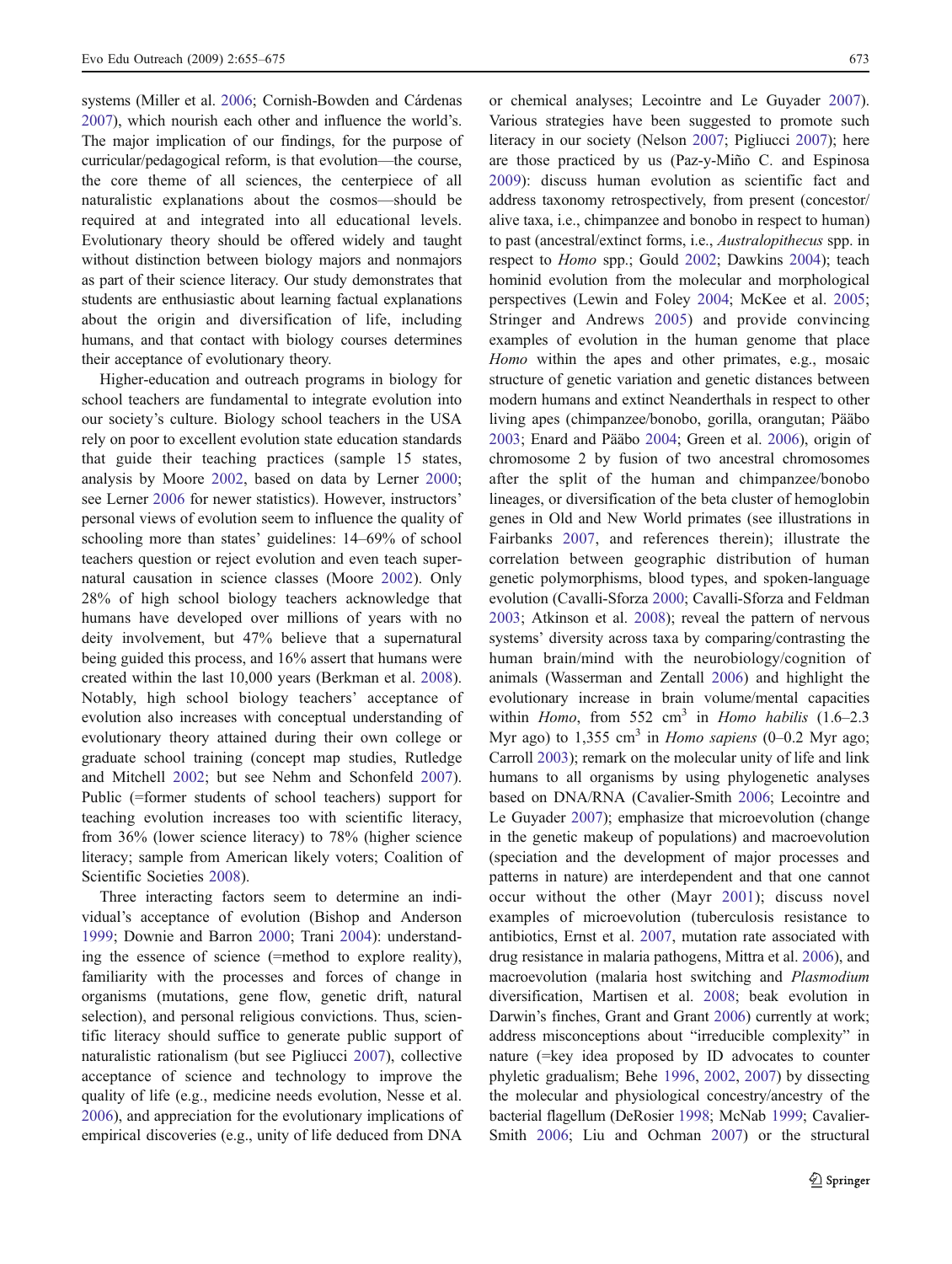systems (Miller et al. [2006;](#page-19-0) Cornish-Bowden and Cárdenas [2007\)](#page-19-0), which nourish each other and influence the world's. The major implication of our findings, for the purpose of curricular/pedagogical reform, is that evolution—the course, the core theme of all sciences, the centerpiece of all naturalistic explanations about the cosmos—should be required at and integrated into all educational levels. Evolutionary theory should be offered widely and taught without distinction between biology majors and nonmajors as part of their science literacy. Our study demonstrates that students are enthusiastic about learning factual explanations about the origin and diversification of life, including humans, and that contact with biology courses determines their acceptance of evolutionary theory.

Higher-education and outreach programs in biology for school teachers are fundamental to integrate evolution into our society's culture. Biology school teachers in the USA rely on poor to excellent evolution state education standards that guide their teaching practices (sample 15 states, analysis by Moore [2002](#page-20-0), based on data by Lerner [2000](#page-19-0); see Lerner [2006](#page-19-0) for newer statistics). However, instructors' personal views of evolution seem to influence the quality of schooling more than states' guidelines: 14–69% of school teachers question or reject evolution and even teach supernatural causation in science classes (Moore [2002\)](#page-20-0). Only 28% of high school biology teachers acknowledge that humans have developed over millions of years with no deity involvement, but 47% believe that a supernatural being guided this process, and 16% assert that humans were created within the last 10,000 years (Berkman et al. [2008](#page-19-0)). Notably, high school biology teachers' acceptance of evolution also increases with conceptual understanding of evolutionary theory attained during their own college or graduate school training (concept map studies, Rutledge and Mitchell [2002](#page-20-0); but see Nehm and Schonfeld [2007](#page-20-0)). Public (=former students of school teachers) support for teaching evolution increases too with scientific literacy, from 36% (lower science literacy) to 78% (higher science literacy; sample from American likely voters; Coalition of Scientific Societies [2008\)](#page-19-0).

Three interacting factors seem to determine an individual's acceptance of evolution (Bishop and Anderson [1999;](#page-19-0) Downie and Barron [2000;](#page-19-0) Trani [2004\)](#page-20-0): understanding the essence of science (=method to explore reality), familiarity with the processes and forces of change in organisms (mutations, gene flow, genetic drift, natural selection), and personal religious convictions. Thus, scientific literacy should suffice to generate public support of naturalistic rationalism (but see Pigliucci [2007](#page-20-0)), collective acceptance of science and technology to improve the quality of life (e.g., medicine needs evolution, Nesse et al. [2006\)](#page-20-0), and appreciation for the evolutionary implications of empirical discoveries (e.g., unity of life deduced from DNA

or chemical analyses; Lecointre and Le Guyader [2007\)](#page-19-0). Various strategies have been suggested to promote such literacy in our society (Nelson [2007](#page-20-0); Pigliucci [2007\)](#page-20-0); here are those practiced by us (Paz-y-Miño C. and Espinosa [2009](#page-20-0)): discuss human evolution as scientific fact and address taxonomy retrospectively, from present (concestor/ alive taxa, i.e., chimpanzee and bonobo in respect to human) to past (ancestral/extinct forms, i.e., Australopithecus spp. in respect to Homo spp.; Gould [2002](#page-19-0); Dawkins [2004\)](#page-19-0); teach hominid evolution from the molecular and morphological perspectives (Lewin and Foley [2004](#page-19-0); McKee et al. [2005;](#page-19-0) Stringer and Andrews [2005](#page-20-0)) and provide convincing examples of evolution in the human genome that place Homo within the apes and other primates, e.g., mosaic structure of genetic variation and genetic distances between modern humans and extinct Neanderthals in respect to other living apes (chimpanzee/bonobo, gorilla, orangutan; Pääbo [2003;](#page-20-0) Enard and Pääbo [2004;](#page-19-0) Green et al. [2006](#page-19-0)), origin of chromosome 2 by fusion of two ancestral chromosomes after the split of the human and chimpanzee/bonobo lineages, or diversification of the beta cluster of hemoglobin genes in Old and New World primates (see illustrations in Fairbanks [2007,](#page-19-0) and references therein); illustrate the correlation between geographic distribution of human genetic polymorphisms, blood types, and spoken-language evolution (Cavalli-Sforza [2000](#page-19-0); Cavalli-Sforza and Feldman [2003;](#page-19-0) Atkinson et al. [2008\)](#page-19-0); reveal the pattern of nervous systems' diversity across taxa by comparing/contrasting the human brain/mind with the neurobiology/cognition of animals (Wasserman and Zentall [2006](#page-20-0)) and highlight the evolutionary increase in brain volume/mental capacities within Homo, from 552 cm<sup>3</sup> in Homo habilis  $(1.6-2.3)$ Myr ago) to 1,355 cm<sup>3</sup> in *Homo sapiens* (0–0.2 Myr ago; Carroll [2003](#page-19-0)); remark on the molecular unity of life and link humans to all organisms by using phylogenetic analyses based on DNA/RNA (Cavalier-Smith [2006;](#page-19-0) Lecointre and Le Guyader [2007](#page-19-0)); emphasize that microevolution (change in the genetic makeup of populations) and macroevolution (speciation and the development of major processes and patterns in nature) are interdependent and that one cannot occur without the other (Mayr [2001\)](#page-19-0); discuss novel examples of microevolution (tuberculosis resistance to antibiotics, Ernst et al. [2007](#page-19-0), mutation rate associated with drug resistance in malaria pathogens, Mittra et al. [2006\)](#page-20-0), and macroevolution (malaria host switching and Plasmodium diversification, Martisen et al. [2008](#page-19-0); beak evolution in Darwin's finches, Grant and Grant [2006\)](#page-19-0) currently at work; address misconceptions about "irreducible complexity" in nature (=key idea proposed by ID advocates to counter phyletic gradualism; Behe [1996](#page-19-0), [2002](#page-19-0), [2007\)](#page-19-0) by dissecting the molecular and physiological concestry/ancestry of the bacterial flagellum (DeRosier [1998;](#page-19-0) McNab [1999](#page-19-0); Cavalier-Smith [2006;](#page-19-0) Liu and Ochman [2007\)](#page-19-0) or the structural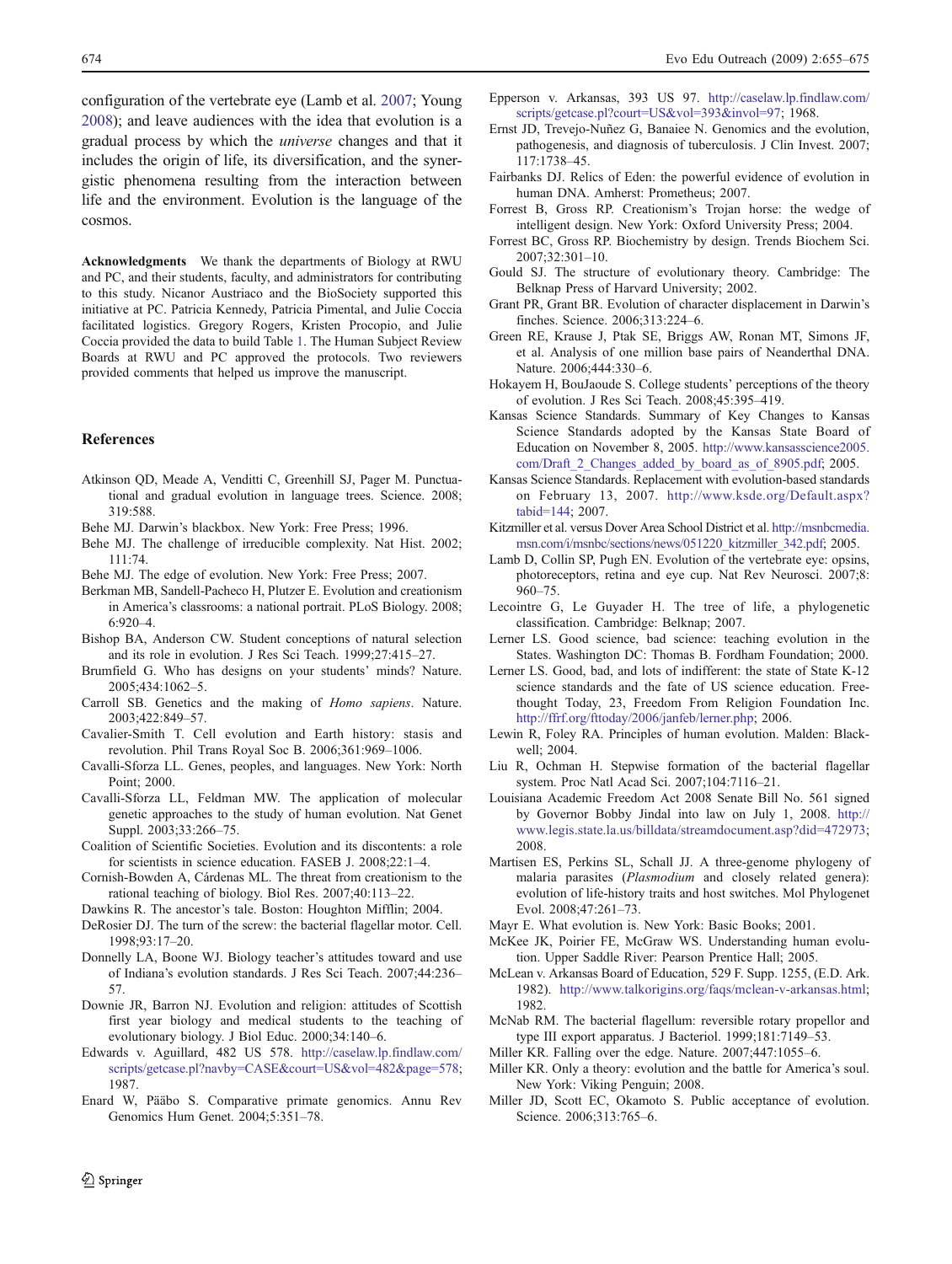<span id="page-19-0"></span>configuration of the vertebrate eye (Lamb et al. 2007; Young [2008\)](#page-20-0); and leave audiences with the idea that evolution is a gradual process by which the universe changes and that it includes the origin of life, its diversification, and the synergistic phenomena resulting from the interaction between life and the environment. Evolution is the language of the cosmos.

Acknowledgments We thank the departments of Biology at RWU and PC, and their students, faculty, and administrators for contributing to this study. Nicanor Austriaco and the BioSociety supported this initiative at PC. Patricia Kennedy, Patricia Pimental, and Julie Coccia facilitated logistics. Gregory Rogers, Kristen Procopio, and Julie Coccia provided the data to build Table [1.](#page-3-0) The Human Subject Review Boards at RWU and PC approved the protocols. Two reviewers provided comments that helped us improve the manuscript.

## References

- Atkinson QD, Meade A, Venditti C, Greenhill SJ, Pager M. Punctuational and gradual evolution in language trees. Science. 2008; 319:588.
- Behe MJ. Darwin's blackbox. New York: Free Press; 1996.
- Behe MJ. The challenge of irreducible complexity. Nat Hist. 2002; 111:74.
- Behe MJ. The edge of evolution. New York: Free Press; 2007.
- Berkman MB, Sandell-Pacheco H, Plutzer E. Evolution and creationism in America's classrooms: a national portrait. PLoS Biology. 2008; 6:920–4.
- Bishop BA, Anderson CW. Student conceptions of natural selection and its role in evolution. J Res Sci Teach. 1999;27:415–27.
- Brumfield G. Who has designs on your students' minds? Nature. 2005;434:1062–5.
- Carroll SB. Genetics and the making of Homo sapiens. Nature. 2003;422:849–57.
- Cavalier-Smith T. Cell evolution and Earth history: stasis and revolution. Phil Trans Royal Soc B. 2006;361:969–1006.
- Cavalli-Sforza LL. Genes, peoples, and languages. New York: North Point; 2000.
- Cavalli-Sforza LL, Feldman MW. The application of molecular genetic approaches to the study of human evolution. Nat Genet Suppl. 2003;33:266–75.
- Coalition of Scientific Societies. Evolution and its discontents: a role for scientists in science education. FASEB J. 2008;22:1–4.
- Cornish-Bowden A, Cárdenas ML. The threat from creationism to the rational teaching of biology. Biol Res. 2007;40:113–22.
- Dawkins R. The ancestor's tale. Boston: Houghton Mifflin; 2004.
- DeRosier DJ. The turn of the screw: the bacterial flagellar motor. Cell. 1998;93:17–20.
- Donnelly LA, Boone WJ. Biology teacher's attitudes toward and use of Indiana's evolution standards. J Res Sci Teach. 2007;44:236– 57.
- Downie JR, Barron NJ. Evolution and religion: attitudes of Scottish first year biology and medical students to the teaching of evolutionary biology. J Biol Educ. 2000;34:140–6.
- Edwards v. Aguillard, 482 US 578. [http://caselaw.lp.findlaw.com/](http://caselaw.lp.findlaw.com/scripts/getcase.pl?navby=CASE&court=US&vol=482&page=578) [scripts/getcase.pl?navby=CASE&court=US&vol=482&page=578](http://caselaw.lp.findlaw.com/scripts/getcase.pl?navby=CASE&court=US&vol=482&page=578); 1987.
- Enard W, Pääbo S. Comparative primate genomics. Annu Rev Genomics Hum Genet. 2004;5:351–78.
- Epperson v. Arkansas, 393 US 97. [http://caselaw.lp.findlaw.com/](http://caselaw.lp.findlaw.com/scripts/getcase.pl?court=US&vol=393&invol=97) [scripts/getcase.pl?court=US&vol=393&invol=97;](http://caselaw.lp.findlaw.com/scripts/getcase.pl?court=US&vol=393&invol=97) 1968.
- Ernst JD, Trevejo-Nuñez G, Banaiee N. Genomics and the evolution, pathogenesis, and diagnosis of tuberculosis. J Clin Invest. 2007; 117:1738–45.
- Fairbanks DJ. Relics of Eden: the powerful evidence of evolution in human DNA. Amherst: Prometheus; 2007.
- Forrest B, Gross RP. Creationism's Trojan horse: the wedge of intelligent design. New York: Oxford University Press; 2004.
- Forrest BC, Gross RP. Biochemistry by design. Trends Biochem Sci. 2007;32:301–10.
- Gould SJ. The structure of evolutionary theory. Cambridge: The Belknap Press of Harvard University; 2002.
- Grant PR, Grant BR. Evolution of character displacement in Darwin's finches. Science. 2006;313:224–6.
- Green RE, Krause J, Ptak SE, Briggs AW, Ronan MT, Simons JF, et al. Analysis of one million base pairs of Neanderthal DNA. Nature. 2006;444:330–6.
- Hokayem H, BouJaoude S. College students' perceptions of the theory of evolution. J Res Sci Teach. 2008;45:395–419.
- Kansas Science Standards. Summary of Key Changes to Kansas Science Standards adopted by the Kansas State Board of Education on November 8, 2005. [http://www.kansasscience2005.](http://www.kansasscience2005.com/Draft_2_Changes_added_by_board_as_of_8905.pdf) [com/Draft\\_2\\_Changes\\_added\\_by\\_board\\_as\\_of\\_8905.pdf](http://www.kansasscience2005.com/Draft_2_Changes_added_by_board_as_of_8905.pdf); 2005.
- Kansas Science Standards. Replacement with evolution-based standards on February 13, 2007. [http://www.ksde.org/Default.aspx?](http://www.ksde.org/Default.aspx?tabid=144) [tabid=144;](http://www.ksde.org/Default.aspx?tabid=144) 2007.
- Kitzmiller et al. versus Dover Area School District et al. [http://msnbcmedia.](http://msnbcmedia.msn.com/i/msnbc/sections/news/051220_kitzmiller_342.pdf) [msn.com/i/msnbc/sections/news/051220\\_kitzmiller\\_342.pdf](http://msnbcmedia.msn.com/i/msnbc/sections/news/051220_kitzmiller_342.pdf); 2005.
- Lamb D, Collin SP, Pugh EN. Evolution of the vertebrate eye: opsins, photoreceptors, retina and eye cup. Nat Rev Neurosci. 2007;8: 960–75.
- Lecointre G, Le Guyader H. The tree of life, a phylogenetic classification. Cambridge: Belknap; 2007.
- Lerner LS. Good science, bad science: teaching evolution in the States. Washington DC: Thomas B. Fordham Foundation; 2000.
- Lerner LS. Good, bad, and lots of indifferent: the state of State K-12 science standards and the fate of US science education. Freethought Today, 23, Freedom From Religion Foundation Inc. [http://ffrf.org/fttoday/2006/janfeb/lerner.php;](http://ffrf.org/fttoday/2006/janfeb/lerner.php) 2006.
- Lewin R, Foley RA. Principles of human evolution. Malden: Blackwell; 2004.
- Liu R, Ochman H. Stepwise formation of the bacterial flagellar system. Proc Natl Acad Sci. 2007;104:7116–21.
- Louisiana Academic Freedom Act 2008 Senate Bill No. 561 signed by Governor Bobby Jindal into law on July 1, 2008. [http://](http://www.legis.state.la.us/billdata/streamdocument.asp?did=472973) [www.legis.state.la.us/billdata/streamdocument.asp?did=472973;](http://www.legis.state.la.us/billdata/streamdocument.asp?did=472973) 2008.
- Martisen ES, Perkins SL, Schall JJ. A three-genome phylogeny of malaria parasites (Plasmodium and closely related genera): evolution of life-history traits and host switches. Mol Phylogenet Evol. 2008;47:261–73.
- Mayr E. What evolution is. New York: Basic Books; 2001.
- McKee JK, Poirier FE, McGraw WS. Understanding human evolution. Upper Saddle River: Pearson Prentice Hall; 2005.
- McLean v. Arkansas Board of Education, 529 F. Supp. 1255, (E.D. Ark. 1982). [http://www.talkorigins.org/faqs/mclean-v-arkansas.html;](http://www.talkorigins.org/faqs/mclean-v-arkansas.html) 1982.
- McNab RM. The bacterial flagellum: reversible rotary propellor and type III export apparatus. J Bacteriol. 1999;181:7149–53.
- Miller KR. Falling over the edge. Nature. 2007;447:1055–6.
- Miller KR. Only a theory: evolution and the battle for America's soul. New York: Viking Penguin; 2008.
- Miller JD, Scott EC, Okamoto S. Public acceptance of evolution. Science. 2006;313:765–6.